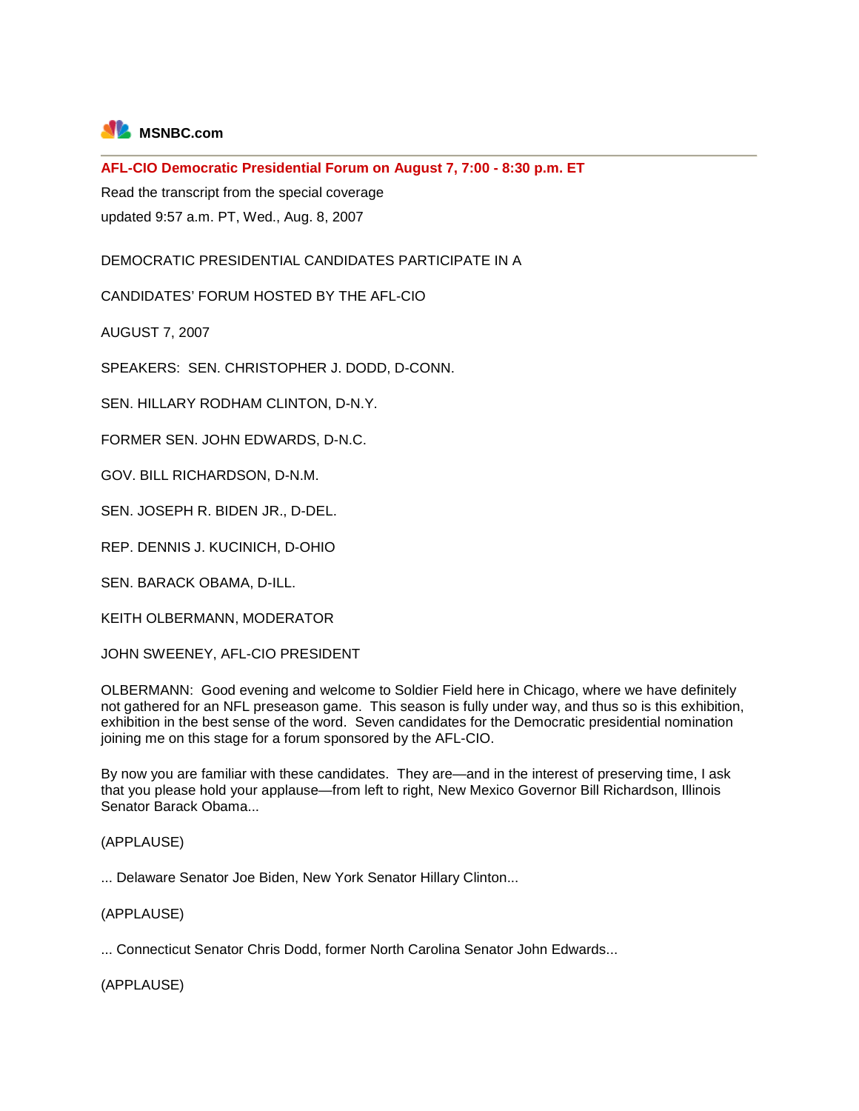

**AFL-CIO Democratic Presidential Forum on August 7, 7:00 - 8:30 p.m. ET**  Read the transcript from the special coverage updated 9:57 a.m. PT, Wed., Aug. 8, 2007

DEMOCRATIC PRESIDENTIAL CANDIDATES PARTICIPATE IN A

CANDIDATES' FORUM HOSTED BY THE AFL-CIO

AUGUST 7, 2007

SPEAKERS: SEN. CHRISTOPHER J. DODD, D-CONN.

SEN. HILLARY RODHAM CLINTON, D-N.Y.

FORMER SEN. JOHN EDWARDS, D-N.C.

GOV. BILL RICHARDSON, D-N.M.

SEN. JOSEPH R. BIDEN JR., D-DEL.

REP. DENNIS J. KUCINICH, D-OHIO

SEN. BARACK OBAMA, D-ILL.

KEITH OLBERMANN, MODERATOR

JOHN SWEENEY, AFL-CIO PRESIDENT

OLBERMANN: Good evening and welcome to Soldier Field here in Chicago, where we have definitely not gathered for an NFL preseason game. This season is fully under way, and thus so is this exhibition, exhibition in the best sense of the word. Seven candidates for the Democratic presidential nomination joining me on this stage for a forum sponsored by the AFL-CIO.

By now you are familiar with these candidates. They are—and in the interest of preserving time, I ask that you please hold your applause—from left to right, New Mexico Governor Bill Richardson, Illinois Senator Barack Obama...

(APPLAUSE)

... Delaware Senator Joe Biden, New York Senator Hillary Clinton...

# (APPLAUSE)

... Connecticut Senator Chris Dodd, former North Carolina Senator John Edwards...

(APPLAUSE)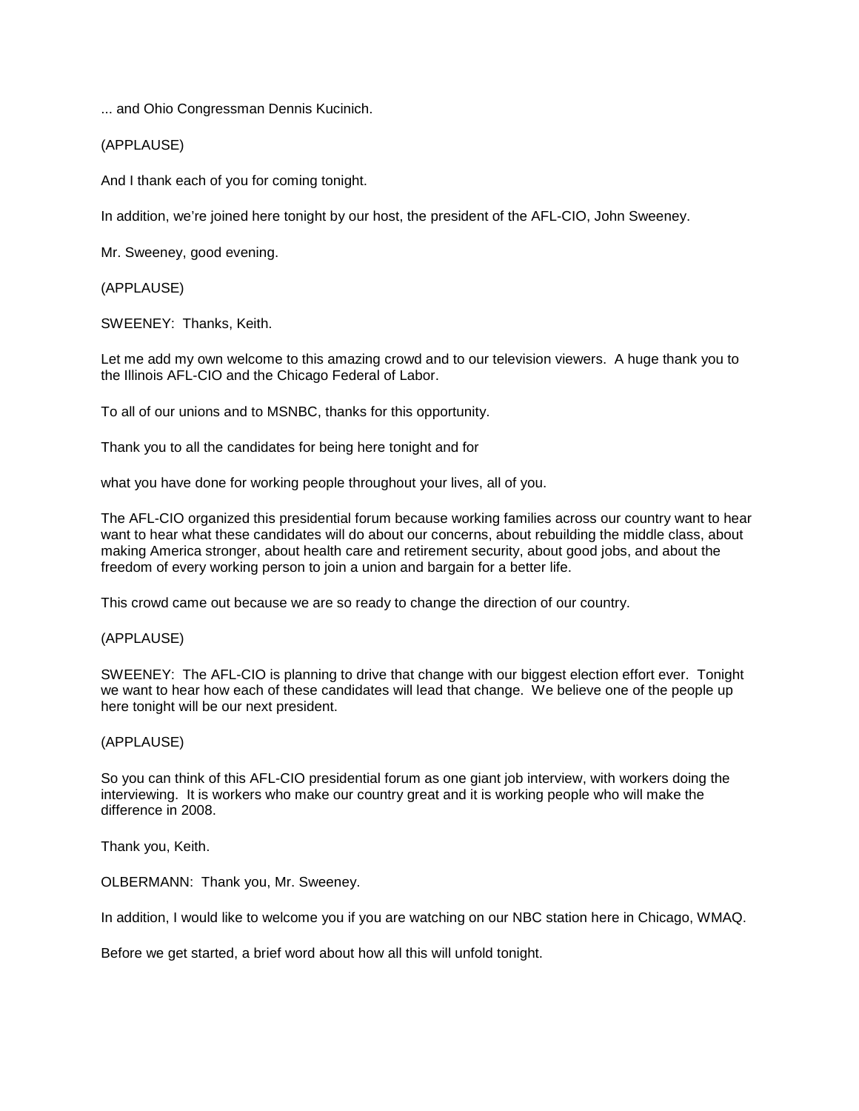... and Ohio Congressman Dennis Kucinich.

(APPLAUSE)

And I thank each of you for coming tonight.

In addition, we're joined here tonight by our host, the president of the AFL-CIO, John Sweeney.

Mr. Sweeney, good evening.

(APPLAUSE)

SWEENEY: Thanks, Keith.

Let me add my own welcome to this amazing crowd and to our television viewers. A huge thank you to the Illinois AFL-CIO and the Chicago Federal of Labor.

To all of our unions and to MSNBC, thanks for this opportunity.

Thank you to all the candidates for being here tonight and for

what you have done for working people throughout your lives, all of you.

The AFL-CIO organized this presidential forum because working families across our country want to hear want to hear what these candidates will do about our concerns, about rebuilding the middle class, about making America stronger, about health care and retirement security, about good jobs, and about the freedom of every working person to join a union and bargain for a better life.

This crowd came out because we are so ready to change the direction of our country.

# (APPLAUSE)

SWEENEY: The AFL-CIO is planning to drive that change with our biggest election effort ever. Tonight we want to hear how each of these candidates will lead that change. We believe one of the people up here tonight will be our next president.

# (APPLAUSE)

So you can think of this AFL-CIO presidential forum as one giant job interview, with workers doing the interviewing. It is workers who make our country great and it is working people who will make the difference in 2008.

Thank you, Keith.

OLBERMANN: Thank you, Mr. Sweeney.

In addition, I would like to welcome you if you are watching on our NBC station here in Chicago, WMAQ.

Before we get started, a brief word about how all this will unfold tonight.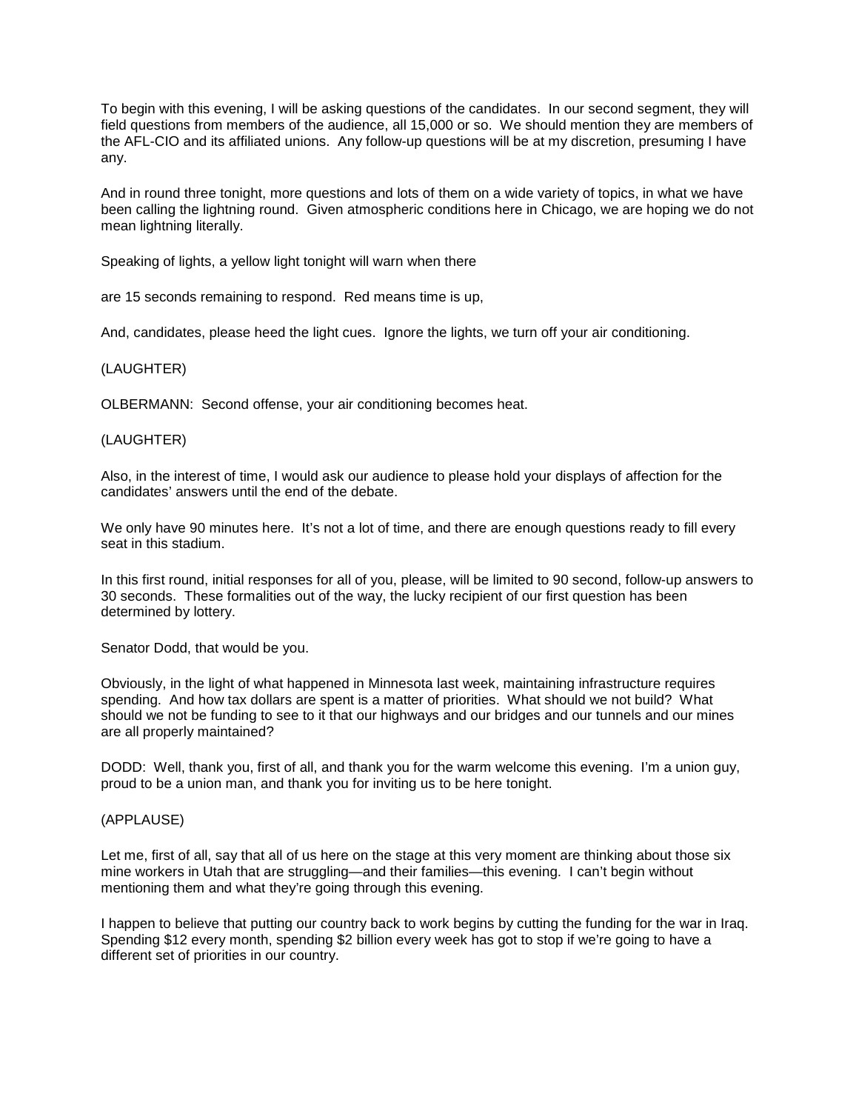To begin with this evening, I will be asking questions of the candidates. In our second segment, they will field questions from members of the audience, all 15,000 or so. We should mention they are members of the AFL-CIO and its affiliated unions. Any follow-up questions will be at my discretion, presuming I have any.

And in round three tonight, more questions and lots of them on a wide variety of topics, in what we have been calling the lightning round. Given atmospheric conditions here in Chicago, we are hoping we do not mean lightning literally.

Speaking of lights, a yellow light tonight will warn when there

are 15 seconds remaining to respond. Red means time is up,

And, candidates, please heed the light cues. Ignore the lights, we turn off your air conditioning.

## (LAUGHTER)

OLBERMANN: Second offense, your air conditioning becomes heat.

## (LAUGHTER)

Also, in the interest of time, I would ask our audience to please hold your displays of affection for the candidates' answers until the end of the debate.

We only have 90 minutes here. It's not a lot of time, and there are enough questions ready to fill every seat in this stadium.

In this first round, initial responses for all of you, please, will be limited to 90 second, follow-up answers to 30 seconds. These formalities out of the way, the lucky recipient of our first question has been determined by lottery.

Senator Dodd, that would be you.

Obviously, in the light of what happened in Minnesota last week, maintaining infrastructure requires spending. And how tax dollars are spent is a matter of priorities. What should we not build? What should we not be funding to see to it that our highways and our bridges and our tunnels and our mines are all properly maintained?

DODD: Well, thank you, first of all, and thank you for the warm welcome this evening. I'm a union guy, proud to be a union man, and thank you for inviting us to be here tonight.

### (APPLAUSE)

Let me, first of all, say that all of us here on the stage at this very moment are thinking about those six mine workers in Utah that are struggling—and their families—this evening. I can't begin without mentioning them and what they're going through this evening.

I happen to believe that putting our country back to work begins by cutting the funding for the war in Iraq. Spending \$12 every month, spending \$2 billion every week has got to stop if we're going to have a different set of priorities in our country.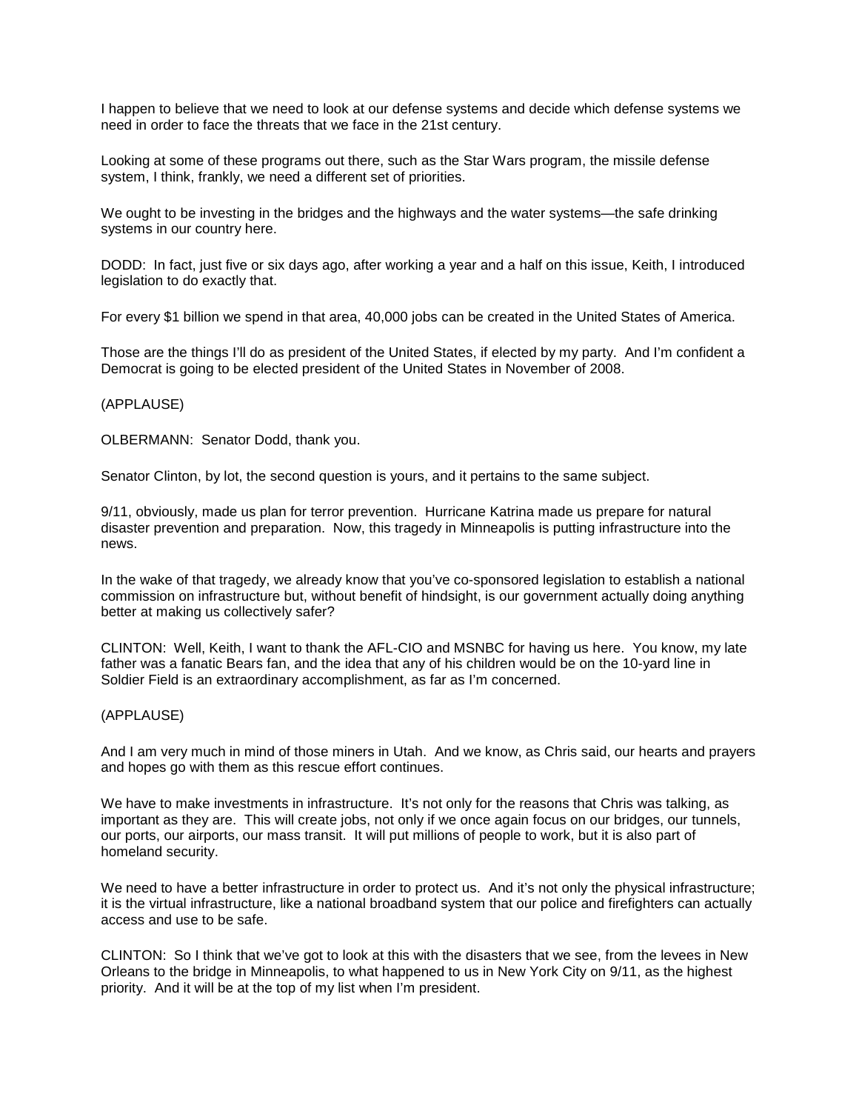I happen to believe that we need to look at our defense systems and decide which defense systems we need in order to face the threats that we face in the 21st century.

Looking at some of these programs out there, such as the Star Wars program, the missile defense system, I think, frankly, we need a different set of priorities.

We ought to be investing in the bridges and the highways and the water systems—the safe drinking systems in our country here.

DODD: In fact, just five or six days ago, after working a year and a half on this issue, Keith, I introduced legislation to do exactly that.

For every \$1 billion we spend in that area, 40,000 jobs can be created in the United States of America.

Those are the things I'll do as president of the United States, if elected by my party. And I'm confident a Democrat is going to be elected president of the United States in November of 2008.

### (APPLAUSE)

OLBERMANN: Senator Dodd, thank you.

Senator Clinton, by lot, the second question is yours, and it pertains to the same subject.

9/11, obviously, made us plan for terror prevention. Hurricane Katrina made us prepare for natural disaster prevention and preparation. Now, this tragedy in Minneapolis is putting infrastructure into the news.

In the wake of that tragedy, we already know that you've co-sponsored legislation to establish a national commission on infrastructure but, without benefit of hindsight, is our government actually doing anything better at making us collectively safer?

CLINTON: Well, Keith, I want to thank the AFL-CIO and MSNBC for having us here. You know, my late father was a fanatic Bears fan, and the idea that any of his children would be on the 10-yard line in Soldier Field is an extraordinary accomplishment, as far as I'm concerned.

## (APPLAUSE)

And I am very much in mind of those miners in Utah. And we know, as Chris said, our hearts and prayers and hopes go with them as this rescue effort continues.

We have to make investments in infrastructure. It's not only for the reasons that Chris was talking, as important as they are. This will create jobs, not only if we once again focus on our bridges, our tunnels, our ports, our airports, our mass transit. It will put millions of people to work, but it is also part of homeland security.

We need to have a better infrastructure in order to protect us. And it's not only the physical infrastructure; it is the virtual infrastructure, like a national broadband system that our police and firefighters can actually access and use to be safe.

CLINTON: So I think that we've got to look at this with the disasters that we see, from the levees in New Orleans to the bridge in Minneapolis, to what happened to us in New York City on 9/11, as the highest priority. And it will be at the top of my list when I'm president.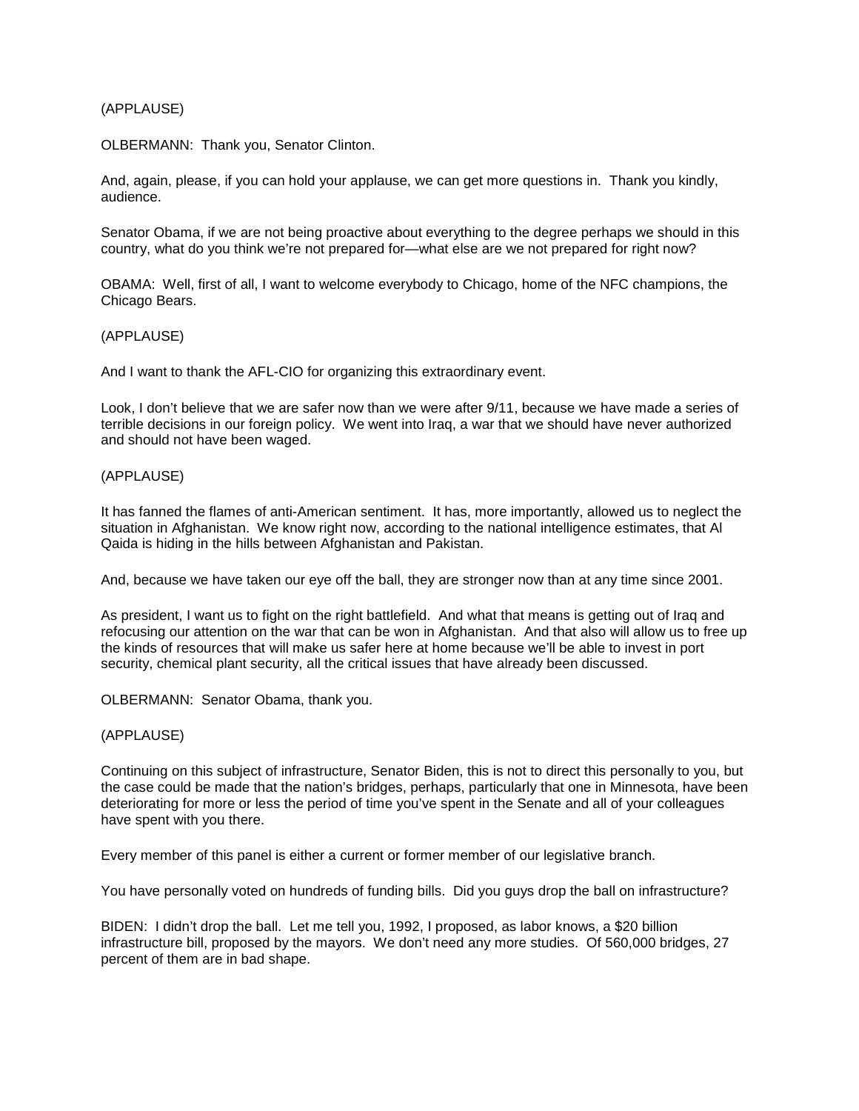## (APPLAUSE)

OLBERMANN: Thank you, Senator Clinton.

And, again, please, if you can hold your applause, we can get more questions in. Thank you kindly, audience.

Senator Obama, if we are not being proactive about everything to the degree perhaps we should in this country, what do you think we're not prepared for—what else are we not prepared for right now?

OBAMA: Well, first of all, I want to welcome everybody to Chicago, home of the NFC champions, the Chicago Bears.

## (APPLAUSE)

And I want to thank the AFL-CIO for organizing this extraordinary event.

Look, I don't believe that we are safer now than we were after 9/11, because we have made a series of terrible decisions in our foreign policy. We went into Iraq, a war that we should have never authorized and should not have been waged.

## (APPLAUSE)

It has fanned the flames of anti-American sentiment. It has, more importantly, allowed us to neglect the situation in Afghanistan. We know right now, according to the national intelligence estimates, that Al Qaida is hiding in the hills between Afghanistan and Pakistan.

And, because we have taken our eye off the ball, they are stronger now than at any time since 2001.

As president, I want us to fight on the right battlefield. And what that means is getting out of Iraq and refocusing our attention on the war that can be won in Afghanistan. And that also will allow us to free up the kinds of resources that will make us safer here at home because we'll be able to invest in port security, chemical plant security, all the critical issues that have already been discussed.

OLBERMANN: Senator Obama, thank you.

### (APPLAUSE)

Continuing on this subject of infrastructure, Senator Biden, this is not to direct this personally to you, but the case could be made that the nation's bridges, perhaps, particularly that one in Minnesota, have been deteriorating for more or less the period of time you've spent in the Senate and all of your colleagues have spent with you there.

Every member of this panel is either a current or former member of our legislative branch.

You have personally voted on hundreds of funding bills. Did you guys drop the ball on infrastructure?

BIDEN: I didn't drop the ball. Let me tell you, 1992, I proposed, as labor knows, a \$20 billion infrastructure bill, proposed by the mayors. We don't need any more studies. Of 560,000 bridges, 27 percent of them are in bad shape.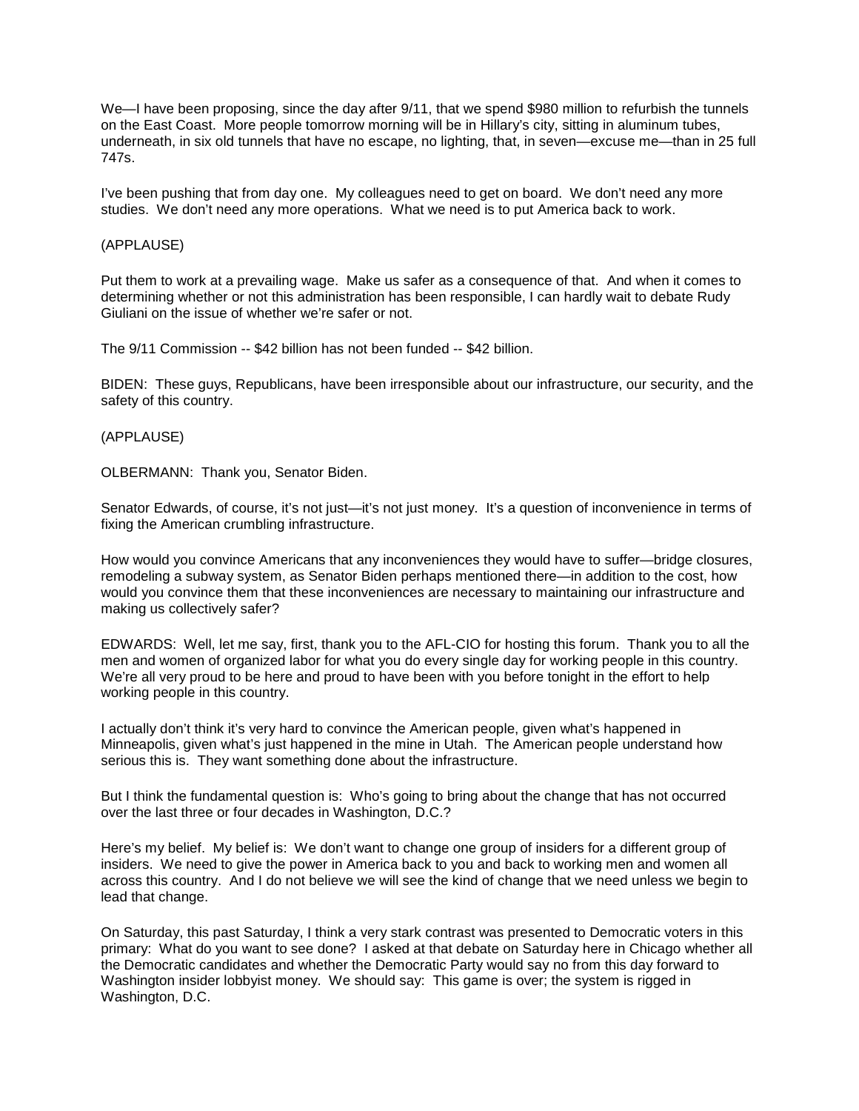We—I have been proposing, since the day after 9/11, that we spend \$980 million to refurbish the tunnels on the East Coast. More people tomorrow morning will be in Hillary's city, sitting in aluminum tubes, underneath, in six old tunnels that have no escape, no lighting, that, in seven—excuse me—than in 25 full 747s.

I've been pushing that from day one. My colleagues need to get on board. We don't need any more studies. We don't need any more operations. What we need is to put America back to work.

### (APPLAUSE)

Put them to work at a prevailing wage. Make us safer as a consequence of that. And when it comes to determining whether or not this administration has been responsible, I can hardly wait to debate Rudy Giuliani on the issue of whether we're safer or not.

The 9/11 Commission -- \$42 billion has not been funded -- \$42 billion.

BIDEN: These guys, Republicans, have been irresponsible about our infrastructure, our security, and the safety of this country.

### (APPLAUSE)

OLBERMANN: Thank you, Senator Biden.

Senator Edwards, of course, it's not just—it's not just money. It's a question of inconvenience in terms of fixing the American crumbling infrastructure.

How would you convince Americans that any inconveniences they would have to suffer—bridge closures, remodeling a subway system, as Senator Biden perhaps mentioned there—in addition to the cost, how would you convince them that these inconveniences are necessary to maintaining our infrastructure and making us collectively safer?

EDWARDS: Well, let me say, first, thank you to the AFL-CIO for hosting this forum. Thank you to all the men and women of organized labor for what you do every single day for working people in this country. We're all very proud to be here and proud to have been with you before tonight in the effort to help working people in this country.

I actually don't think it's very hard to convince the American people, given what's happened in Minneapolis, given what's just happened in the mine in Utah. The American people understand how serious this is. They want something done about the infrastructure.

But I think the fundamental question is: Who's going to bring about the change that has not occurred over the last three or four decades in Washington, D.C.?

Here's my belief. My belief is: We don't want to change one group of insiders for a different group of insiders. We need to give the power in America back to you and back to working men and women all across this country. And I do not believe we will see the kind of change that we need unless we begin to lead that change.

On Saturday, this past Saturday, I think a very stark contrast was presented to Democratic voters in this primary: What do you want to see done? I asked at that debate on Saturday here in Chicago whether all the Democratic candidates and whether the Democratic Party would say no from this day forward to Washington insider lobbyist money. We should say: This game is over; the system is rigged in Washington, D.C.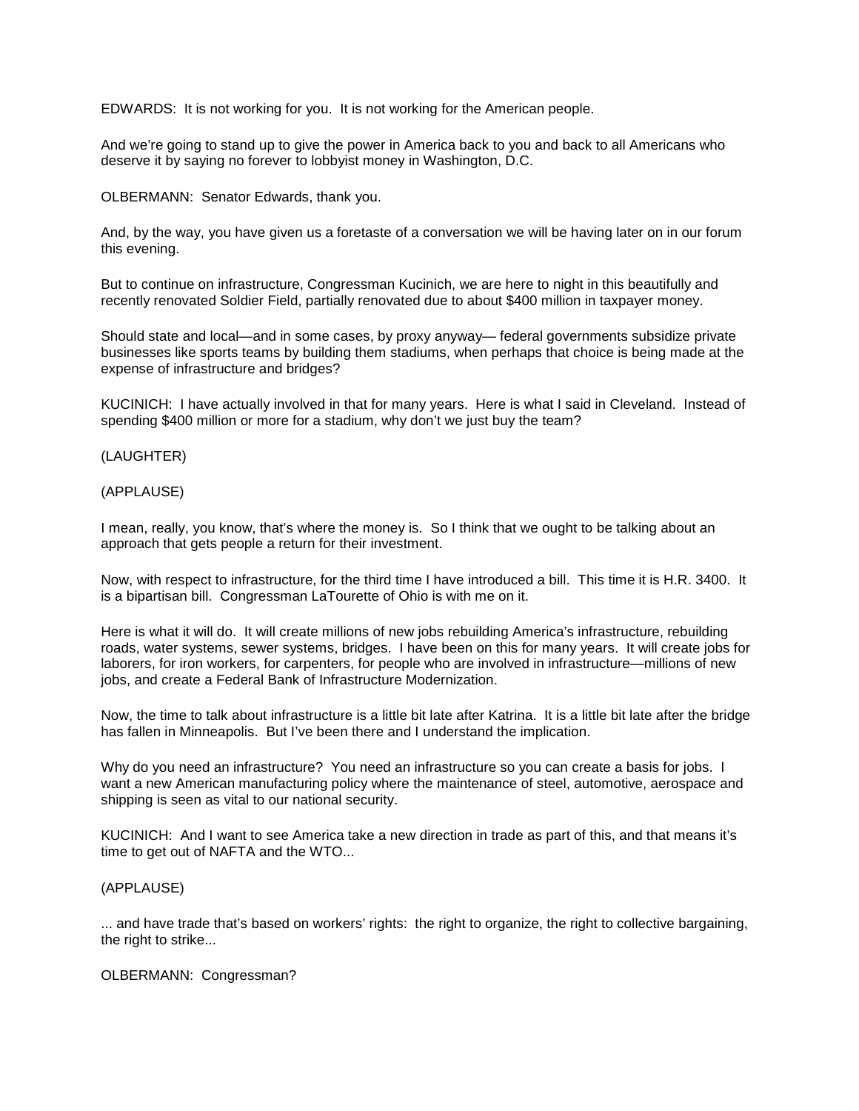EDWARDS: It is not working for you. It is not working for the American people.

And we're going to stand up to give the power in America back to you and back to all Americans who deserve it by saying no forever to lobbyist money in Washington, D.C.

OLBERMANN: Senator Edwards, thank you.

And, by the way, you have given us a foretaste of a conversation we will be having later on in our forum this evening.

But to continue on infrastructure, Congressman Kucinich, we are here to night in this beautifully and recently renovated Soldier Field, partially renovated due to about \$400 million in taxpayer money.

Should state and local—and in some cases, by proxy anyway— federal governments subsidize private businesses like sports teams by building them stadiums, when perhaps that choice is being made at the expense of infrastructure and bridges?

KUCINICH: I have actually involved in that for many years. Here is what I said in Cleveland. Instead of spending \$400 million or more for a stadium, why don't we just buy the team?

(LAUGHTER)

(APPLAUSE)

I mean, really, you know, that's where the money is. So I think that we ought to be talking about an approach that gets people a return for their investment.

Now, with respect to infrastructure, for the third time I have introduced a bill. This time it is H.R. 3400. It is a bipartisan bill. Congressman LaTourette of Ohio is with me on it.

Here is what it will do. It will create millions of new jobs rebuilding America's infrastructure, rebuilding roads, water systems, sewer systems, bridges. I have been on this for many years. It will create jobs for laborers, for iron workers, for carpenters, for people who are involved in infrastructure—millions of new jobs, and create a Federal Bank of Infrastructure Modernization.

Now, the time to talk about infrastructure is a little bit late after Katrina. It is a little bit late after the bridge has fallen in Minneapolis. But I've been there and I understand the implication.

Why do you need an infrastructure? You need an infrastructure so you can create a basis for jobs. I want a new American manufacturing policy where the maintenance of steel, automotive, aerospace and shipping is seen as vital to our national security.

KUCINICH: And I want to see America take a new direction in trade as part of this, and that means it's time to get out of NAFTA and the WTO...

# (APPLAUSE)

... and have trade that's based on workers' rights: the right to organize, the right to collective bargaining, the right to strike...

## OLBERMANN: Congressman?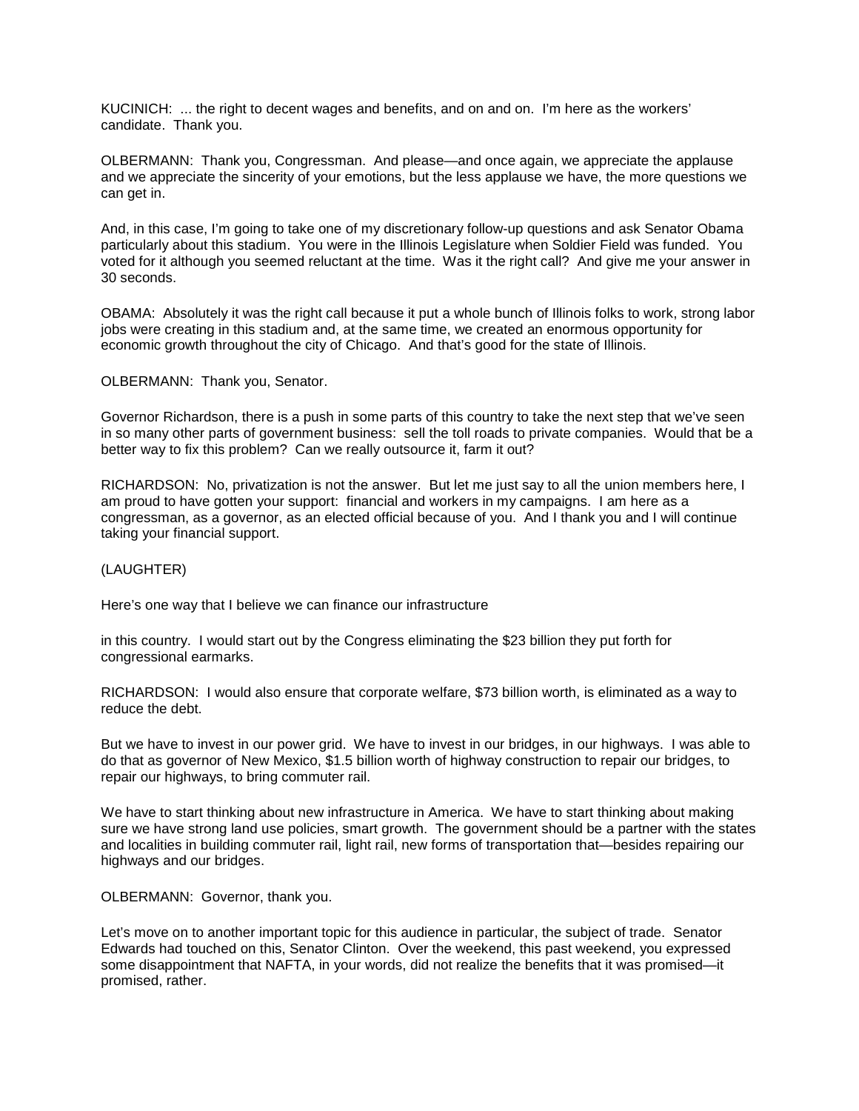KUCINICH: ... the right to decent wages and benefits, and on and on. I'm here as the workers' candidate. Thank you.

OLBERMANN: Thank you, Congressman. And please—and once again, we appreciate the applause and we appreciate the sincerity of your emotions, but the less applause we have, the more questions we can get in.

And, in this case, I'm going to take one of my discretionary follow-up questions and ask Senator Obama particularly about this stadium. You were in the Illinois Legislature when Soldier Field was funded. You voted for it although you seemed reluctant at the time. Was it the right call? And give me your answer in 30 seconds.

OBAMA: Absolutely it was the right call because it put a whole bunch of Illinois folks to work, strong labor jobs were creating in this stadium and, at the same time, we created an enormous opportunity for economic growth throughout the city of Chicago. And that's good for the state of Illinois.

OLBERMANN: Thank you, Senator.

Governor Richardson, there is a push in some parts of this country to take the next step that we've seen in so many other parts of government business: sell the toll roads to private companies. Would that be a better way to fix this problem? Can we really outsource it, farm it out?

RICHARDSON: No, privatization is not the answer. But let me just say to all the union members here, I am proud to have gotten your support: financial and workers in my campaigns. I am here as a congressman, as a governor, as an elected official because of you. And I thank you and I will continue taking your financial support.

# (LAUGHTER)

Here's one way that I believe we can finance our infrastructure

in this country. I would start out by the Congress eliminating the \$23 billion they put forth for congressional earmarks.

RICHARDSON: I would also ensure that corporate welfare, \$73 billion worth, is eliminated as a way to reduce the debt.

But we have to invest in our power grid. We have to invest in our bridges, in our highways. I was able to do that as governor of New Mexico, \$1.5 billion worth of highway construction to repair our bridges, to repair our highways, to bring commuter rail.

We have to start thinking about new infrastructure in America. We have to start thinking about making sure we have strong land use policies, smart growth. The government should be a partner with the states and localities in building commuter rail, light rail, new forms of transportation that—besides repairing our highways and our bridges.

OLBERMANN: Governor, thank you.

Let's move on to another important topic for this audience in particular, the subject of trade. Senator Edwards had touched on this, Senator Clinton. Over the weekend, this past weekend, you expressed some disappointment that NAFTA, in your words, did not realize the benefits that it was promised—it promised, rather.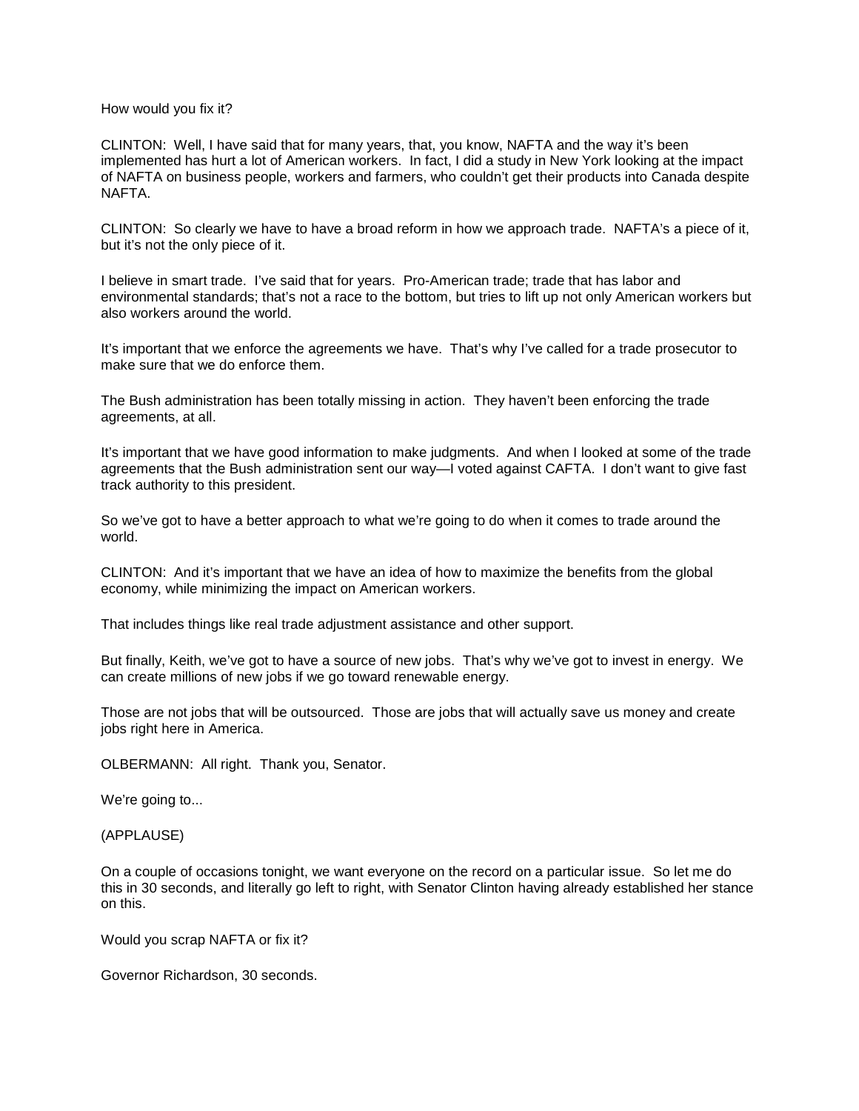### How would you fix it?

CLINTON: Well, I have said that for many years, that, you know, NAFTA and the way it's been implemented has hurt a lot of American workers. In fact, I did a study in New York looking at the impact of NAFTA on business people, workers and farmers, who couldn't get their products into Canada despite NAFTA.

CLINTON: So clearly we have to have a broad reform in how we approach trade. NAFTA's a piece of it, but it's not the only piece of it.

I believe in smart trade. I've said that for years. Pro-American trade; trade that has labor and environmental standards; that's not a race to the bottom, but tries to lift up not only American workers but also workers around the world.

It's important that we enforce the agreements we have. That's why I've called for a trade prosecutor to make sure that we do enforce them.

The Bush administration has been totally missing in action. They haven't been enforcing the trade agreements, at all.

It's important that we have good information to make judgments. And when I looked at some of the trade agreements that the Bush administration sent our way—I voted against CAFTA. I don't want to give fast track authority to this president.

So we've got to have a better approach to what we're going to do when it comes to trade around the world.

CLINTON: And it's important that we have an idea of how to maximize the benefits from the global economy, while minimizing the impact on American workers.

That includes things like real trade adjustment assistance and other support.

But finally, Keith, we've got to have a source of new jobs. That's why we've got to invest in energy. We can create millions of new jobs if we go toward renewable energy.

Those are not jobs that will be outsourced. Those are jobs that will actually save us money and create jobs right here in America.

OLBERMANN: All right. Thank you, Senator.

We're going to...

(APPLAUSE)

On a couple of occasions tonight, we want everyone on the record on a particular issue. So let me do this in 30 seconds, and literally go left to right, with Senator Clinton having already established her stance on this.

Would you scrap NAFTA or fix it?

Governor Richardson, 30 seconds.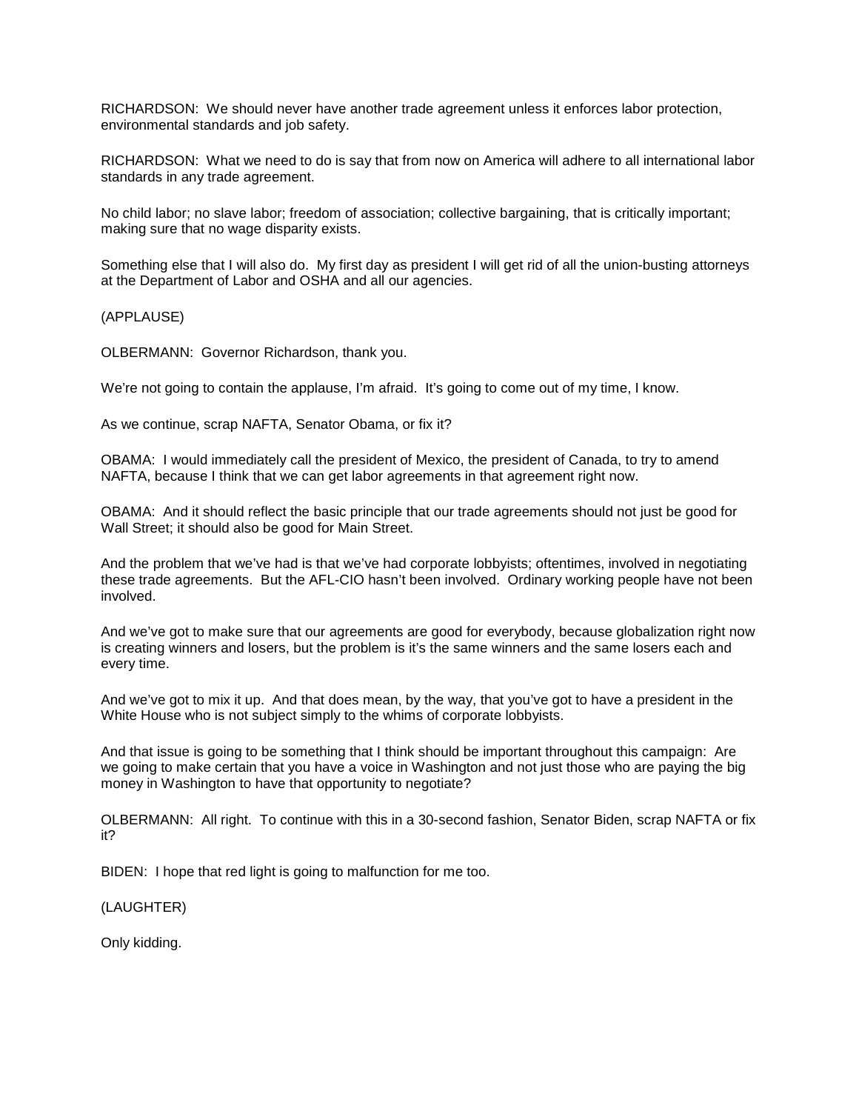RICHARDSON: We should never have another trade agreement unless it enforces labor protection, environmental standards and job safety.

RICHARDSON: What we need to do is say that from now on America will adhere to all international labor standards in any trade agreement.

No child labor; no slave labor; freedom of association; collective bargaining, that is critically important; making sure that no wage disparity exists.

Something else that I will also do. My first day as president I will get rid of all the union-busting attorneys at the Department of Labor and OSHA and all our agencies.

(APPLAUSE)

OLBERMANN: Governor Richardson, thank you.

We're not going to contain the applause, I'm afraid. It's going to come out of my time, I know.

As we continue, scrap NAFTA, Senator Obama, or fix it?

OBAMA: I would immediately call the president of Mexico, the president of Canada, to try to amend NAFTA, because I think that we can get labor agreements in that agreement right now.

OBAMA: And it should reflect the basic principle that our trade agreements should not just be good for Wall Street; it should also be good for Main Street.

And the problem that we've had is that we've had corporate lobbyists; oftentimes, involved in negotiating these trade agreements. But the AFL-CIO hasn't been involved. Ordinary working people have not been involved.

And we've got to make sure that our agreements are good for everybody, because globalization right now is creating winners and losers, but the problem is it's the same winners and the same losers each and every time.

And we've got to mix it up. And that does mean, by the way, that you've got to have a president in the White House who is not subject simply to the whims of corporate lobbyists.

And that issue is going to be something that I think should be important throughout this campaign: Are we going to make certain that you have a voice in Washington and not just those who are paying the big money in Washington to have that opportunity to negotiate?

OLBERMANN: All right. To continue with this in a 30-second fashion, Senator Biden, scrap NAFTA or fix it?

BIDEN: I hope that red light is going to malfunction for me too.

(LAUGHTER)

Only kidding.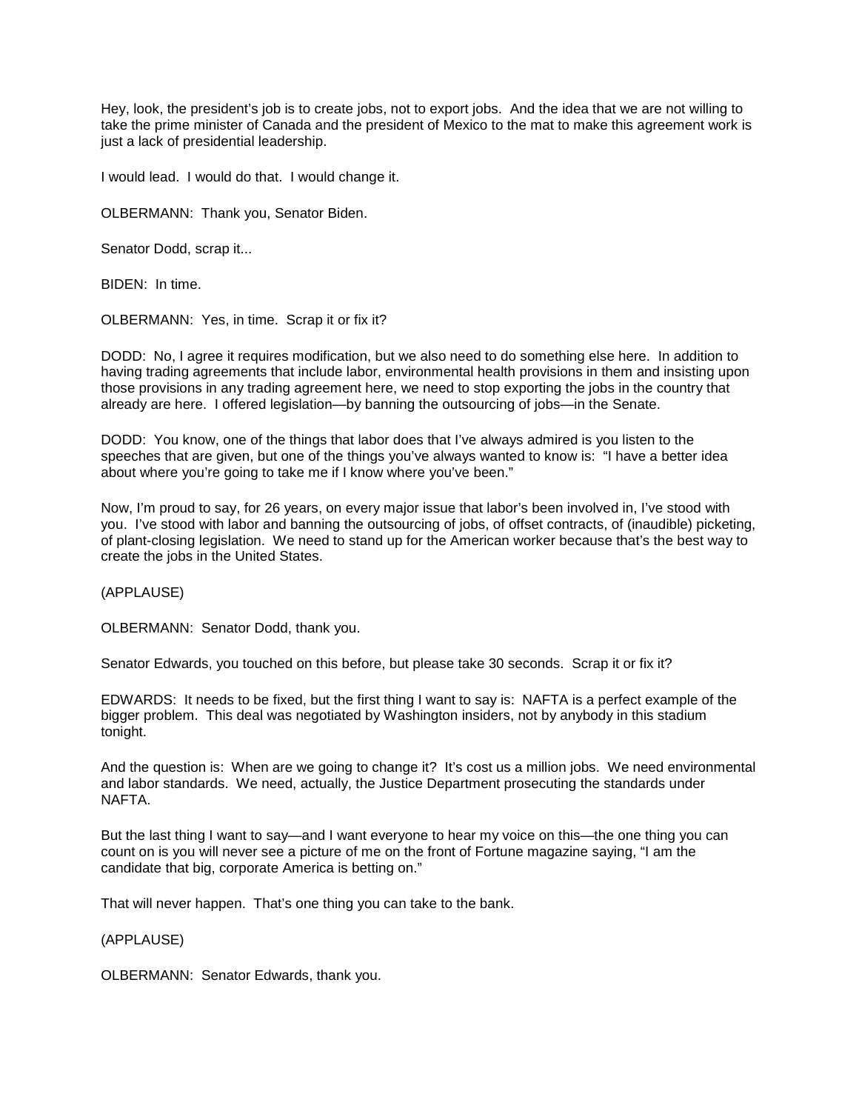Hey, look, the president's job is to create jobs, not to export jobs. And the idea that we are not willing to take the prime minister of Canada and the president of Mexico to the mat to make this agreement work is just a lack of presidential leadership.

I would lead. I would do that. I would change it.

OLBERMANN: Thank you, Senator Biden.

Senator Dodd, scrap it...

BIDEN: In time.

OLBERMANN: Yes, in time. Scrap it or fix it?

DODD: No, I agree it requires modification, but we also need to do something else here. In addition to having trading agreements that include labor, environmental health provisions in them and insisting upon those provisions in any trading agreement here, we need to stop exporting the jobs in the country that already are here. I offered legislation—by banning the outsourcing of jobs—in the Senate.

DODD: You know, one of the things that labor does that I've always admired is you listen to the speeches that are given, but one of the things you've always wanted to know is: "I have a better idea about where you're going to take me if I know where you've been."

Now, I'm proud to say, for 26 years, on every major issue that labor's been involved in, I've stood with you. I've stood with labor and banning the outsourcing of jobs, of offset contracts, of (inaudible) picketing, of plant-closing legislation. We need to stand up for the American worker because that's the best way to create the jobs in the United States.

(APPLAUSE)

OLBERMANN: Senator Dodd, thank you.

Senator Edwards, you touched on this before, but please take 30 seconds. Scrap it or fix it?

EDWARDS: It needs to be fixed, but the first thing I want to say is: NAFTA is a perfect example of the bigger problem. This deal was negotiated by Washington insiders, not by anybody in this stadium tonight.

And the question is: When are we going to change it? It's cost us a million jobs. We need environmental and labor standards. We need, actually, the Justice Department prosecuting the standards under NAFTA.

But the last thing I want to say—and I want everyone to hear my voice on this—the one thing you can count on is you will never see a picture of me on the front of Fortune magazine saying, "I am the candidate that big, corporate America is betting on."

That will never happen. That's one thing you can take to the bank.

### (APPLAUSE)

OLBERMANN: Senator Edwards, thank you.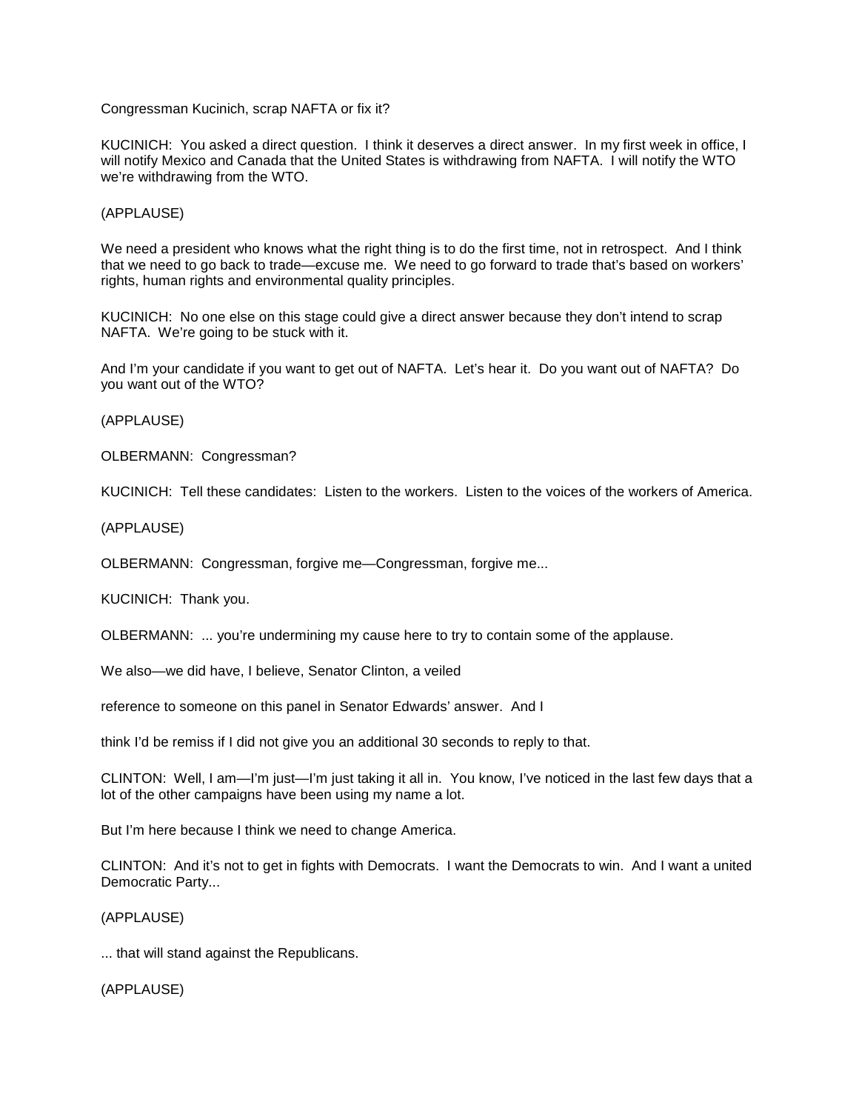Congressman Kucinich, scrap NAFTA or fix it?

KUCINICH: You asked a direct question. I think it deserves a direct answer. In my first week in office, I will notify Mexico and Canada that the United States is withdrawing from NAFTA. I will notify the WTO we're withdrawing from the WTO.

## (APPLAUSE)

We need a president who knows what the right thing is to do the first time, not in retrospect. And I think that we need to go back to trade—excuse me. We need to go forward to trade that's based on workers' rights, human rights and environmental quality principles.

KUCINICH: No one else on this stage could give a direct answer because they don't intend to scrap NAFTA. We're going to be stuck with it.

And I'm your candidate if you want to get out of NAFTA. Let's hear it. Do you want out of NAFTA? Do you want out of the WTO?

(APPLAUSE)

OLBERMANN: Congressman?

KUCINICH: Tell these candidates: Listen to the workers. Listen to the voices of the workers of America.

(APPLAUSE)

OLBERMANN: Congressman, forgive me—Congressman, forgive me...

KUCINICH: Thank you.

OLBERMANN: ... you're undermining my cause here to try to contain some of the applause.

We also—we did have, I believe, Senator Clinton, a veiled

reference to someone on this panel in Senator Edwards' answer. And I

think I'd be remiss if I did not give you an additional 30 seconds to reply to that.

CLINTON: Well, I am—I'm just—I'm just taking it all in. You know, I've noticed in the last few days that a lot of the other campaigns have been using my name a lot.

But I'm here because I think we need to change America.

CLINTON: And it's not to get in fights with Democrats. I want the Democrats to win. And I want a united Democratic Party...

(APPLAUSE)

... that will stand against the Republicans.

(APPLAUSE)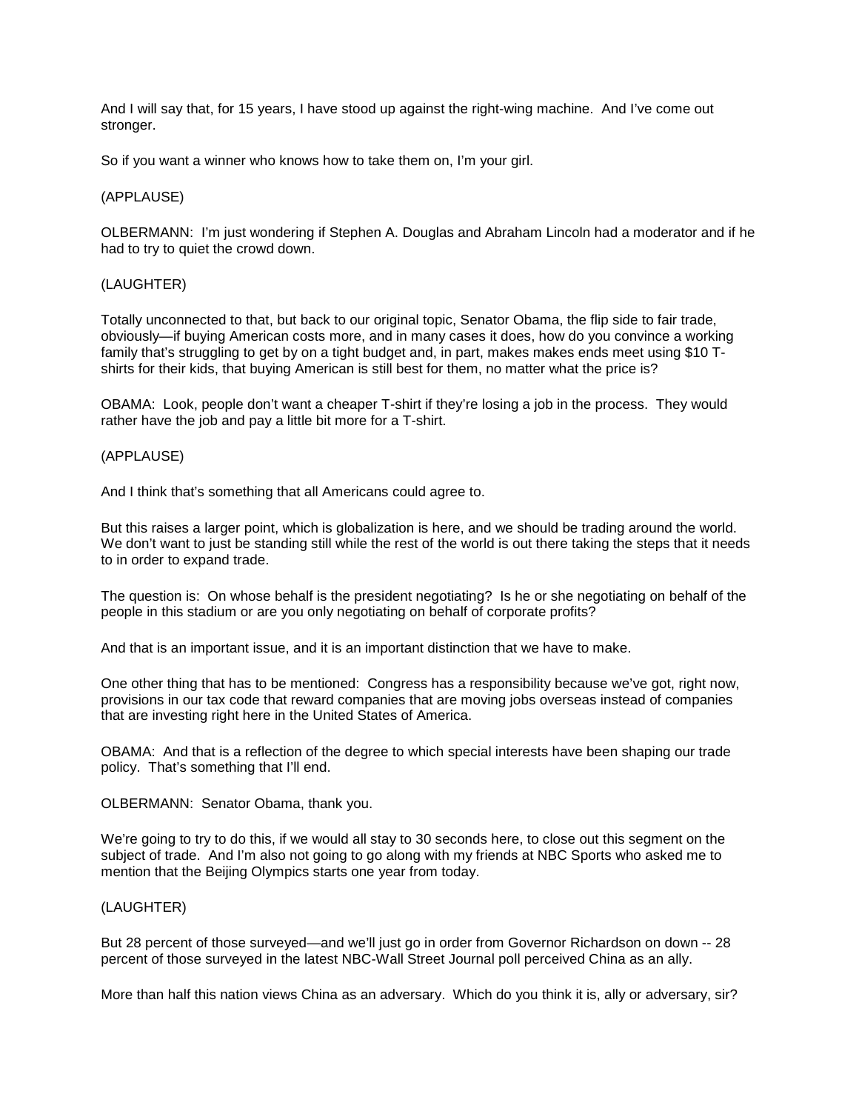And I will say that, for 15 years, I have stood up against the right-wing machine. And I've come out stronger.

So if you want a winner who knows how to take them on, I'm your girl.

## (APPLAUSE)

OLBERMANN: I'm just wondering if Stephen A. Douglas and Abraham Lincoln had a moderator and if he had to try to quiet the crowd down.

# (LAUGHTER)

Totally unconnected to that, but back to our original topic, Senator Obama, the flip side to fair trade, obviously—if buying American costs more, and in many cases it does, how do you convince a working family that's struggling to get by on a tight budget and, in part, makes makes ends meet using \$10 Tshirts for their kids, that buying American is still best for them, no matter what the price is?

OBAMA: Look, people don't want a cheaper T-shirt if they're losing a job in the process. They would rather have the job and pay a little bit more for a T-shirt.

## (APPLAUSE)

And I think that's something that all Americans could agree to.

But this raises a larger point, which is globalization is here, and we should be trading around the world. We don't want to just be standing still while the rest of the world is out there taking the steps that it needs to in order to expand trade.

The question is: On whose behalf is the president negotiating? Is he or she negotiating on behalf of the people in this stadium or are you only negotiating on behalf of corporate profits?

And that is an important issue, and it is an important distinction that we have to make.

One other thing that has to be mentioned: Congress has a responsibility because we've got, right now, provisions in our tax code that reward companies that are moving jobs overseas instead of companies that are investing right here in the United States of America.

OBAMA: And that is a reflection of the degree to which special interests have been shaping our trade policy. That's something that I'll end.

OLBERMANN: Senator Obama, thank you.

We're going to try to do this, if we would all stay to 30 seconds here, to close out this segment on the subject of trade. And I'm also not going to go along with my friends at NBC Sports who asked me to mention that the Beijing Olympics starts one year from today.

# (LAUGHTER)

But 28 percent of those surveyed—and we'll just go in order from Governor Richardson on down -- 28 percent of those surveyed in the latest NBC-Wall Street Journal poll perceived China as an ally.

More than half this nation views China as an adversary. Which do you think it is, ally or adversary, sir?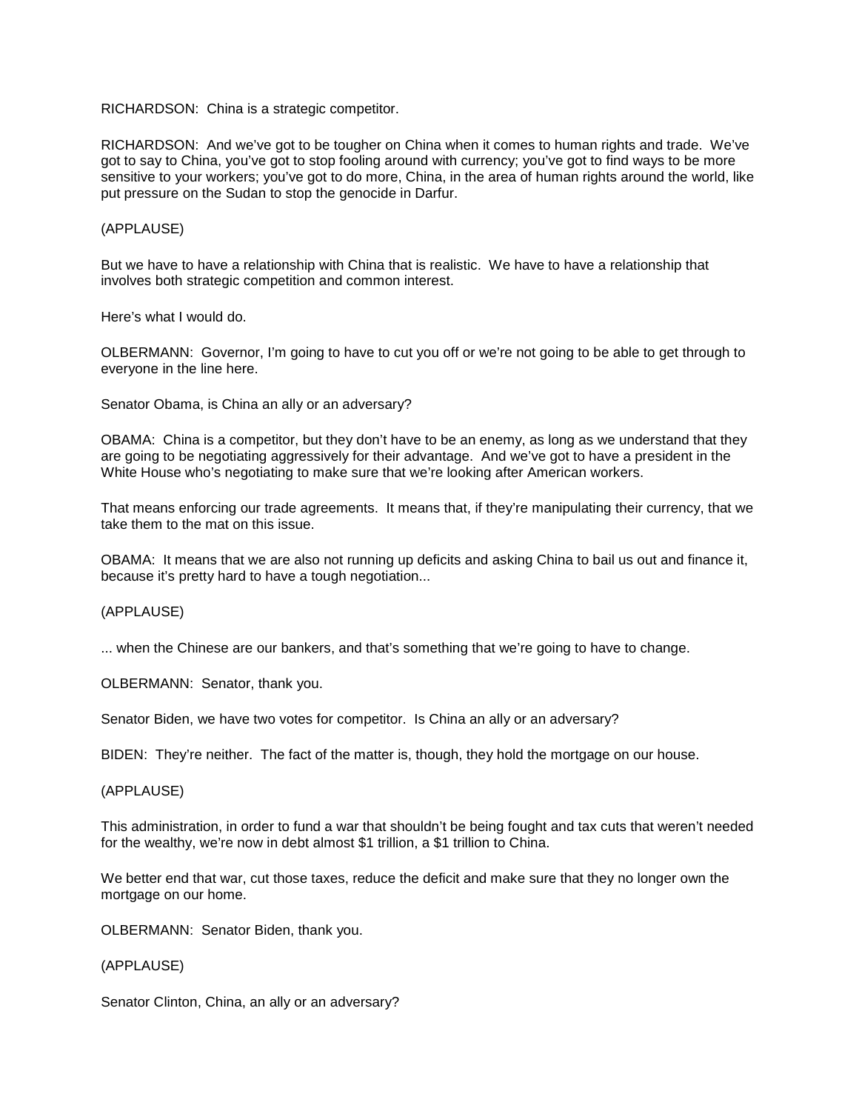RICHARDSON: China is a strategic competitor.

RICHARDSON: And we've got to be tougher on China when it comes to human rights and trade. We've got to say to China, you've got to stop fooling around with currency; you've got to find ways to be more sensitive to your workers; you've got to do more, China, in the area of human rights around the world, like put pressure on the Sudan to stop the genocide in Darfur.

## (APPLAUSE)

But we have to have a relationship with China that is realistic. We have to have a relationship that involves both strategic competition and common interest.

Here's what I would do.

OLBERMANN: Governor, I'm going to have to cut you off or we're not going to be able to get through to everyone in the line here.

Senator Obama, is China an ally or an adversary?

OBAMA: China is a competitor, but they don't have to be an enemy, as long as we understand that they are going to be negotiating aggressively for their advantage. And we've got to have a president in the White House who's negotiating to make sure that we're looking after American workers.

That means enforcing our trade agreements. It means that, if they're manipulating their currency, that we take them to the mat on this issue.

OBAMA: It means that we are also not running up deficits and asking China to bail us out and finance it, because it's pretty hard to have a tough negotiation...

(APPLAUSE)

... when the Chinese are our bankers, and that's something that we're going to have to change.

OLBERMANN: Senator, thank you.

Senator Biden, we have two votes for competitor. Is China an ally or an adversary?

BIDEN: They're neither. The fact of the matter is, though, they hold the mortgage on our house.

(APPLAUSE)

This administration, in order to fund a war that shouldn't be being fought and tax cuts that weren't needed for the wealthy, we're now in debt almost \$1 trillion, a \$1 trillion to China.

We better end that war, cut those taxes, reduce the deficit and make sure that they no longer own the mortgage on our home.

OLBERMANN: Senator Biden, thank you.

## (APPLAUSE)

Senator Clinton, China, an ally or an adversary?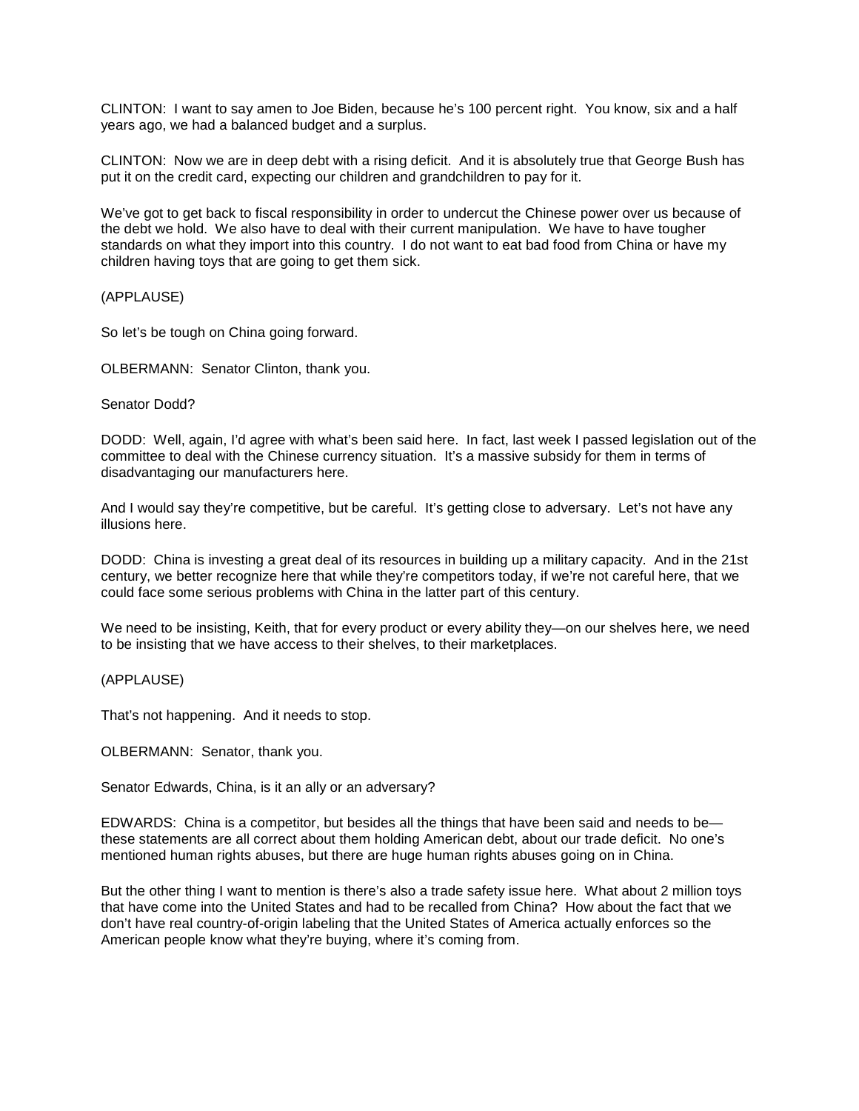CLINTON: I want to say amen to Joe Biden, because he's 100 percent right. You know, six and a half years ago, we had a balanced budget and a surplus.

CLINTON: Now we are in deep debt with a rising deficit. And it is absolutely true that George Bush has put it on the credit card, expecting our children and grandchildren to pay for it.

We've got to get back to fiscal responsibility in order to undercut the Chinese power over us because of the debt we hold. We also have to deal with their current manipulation. We have to have tougher standards on what they import into this country. I do not want to eat bad food from China or have my children having toys that are going to get them sick.

(APPLAUSE)

So let's be tough on China going forward.

OLBERMANN: Senator Clinton, thank you.

Senator Dodd?

DODD: Well, again, I'd agree with what's been said here. In fact, last week I passed legislation out of the committee to deal with the Chinese currency situation. It's a massive subsidy for them in terms of disadvantaging our manufacturers here.

And I would say they're competitive, but be careful. It's getting close to adversary. Let's not have any illusions here.

DODD: China is investing a great deal of its resources in building up a military capacity. And in the 21st century, we better recognize here that while they're competitors today, if we're not careful here, that we could face some serious problems with China in the latter part of this century.

We need to be insisting, Keith, that for every product or every ability they—on our shelves here, we need to be insisting that we have access to their shelves, to their marketplaces.

(APPLAUSE)

That's not happening. And it needs to stop.

OLBERMANN: Senator, thank you.

Senator Edwards, China, is it an ally or an adversary?

EDWARDS: China is a competitor, but besides all the things that have been said and needs to be these statements are all correct about them holding American debt, about our trade deficit. No one's mentioned human rights abuses, but there are huge human rights abuses going on in China.

But the other thing I want to mention is there's also a trade safety issue here. What about 2 million toys that have come into the United States and had to be recalled from China? How about the fact that we don't have real country-of-origin labeling that the United States of America actually enforces so the American people know what they're buying, where it's coming from.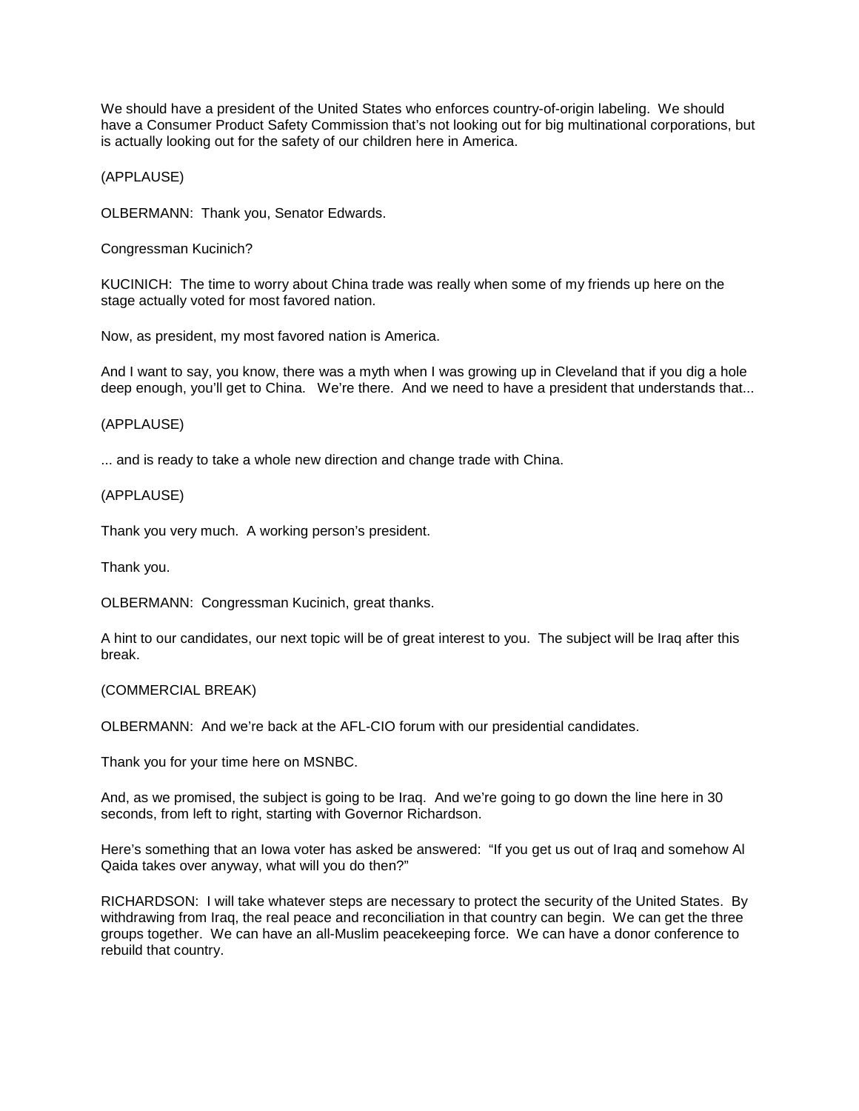We should have a president of the United States who enforces country-of-origin labeling. We should have a Consumer Product Safety Commission that's not looking out for big multinational corporations, but is actually looking out for the safety of our children here in America.

(APPLAUSE)

OLBERMANN: Thank you, Senator Edwards.

Congressman Kucinich?

KUCINICH: The time to worry about China trade was really when some of my friends up here on the stage actually voted for most favored nation.

Now, as president, my most favored nation is America.

And I want to say, you know, there was a myth when I was growing up in Cleveland that if you dig a hole deep enough, you'll get to China. We're there. And we need to have a president that understands that...

## (APPLAUSE)

... and is ready to take a whole new direction and change trade with China.

## (APPLAUSE)

Thank you very much. A working person's president.

Thank you.

OLBERMANN: Congressman Kucinich, great thanks.

A hint to our candidates, our next topic will be of great interest to you. The subject will be Iraq after this break.

### (COMMERCIAL BREAK)

OLBERMANN: And we're back at the AFL-CIO forum with our presidential candidates.

Thank you for your time here on MSNBC.

And, as we promised, the subject is going to be Iraq. And we're going to go down the line here in 30 seconds, from left to right, starting with Governor Richardson.

Here's something that an Iowa voter has asked be answered: "If you get us out of Iraq and somehow Al Qaida takes over anyway, what will you do then?"

RICHARDSON: I will take whatever steps are necessary to protect the security of the United States. By withdrawing from Iraq, the real peace and reconciliation in that country can begin. We can get the three groups together. We can have an all-Muslim peacekeeping force. We can have a donor conference to rebuild that country.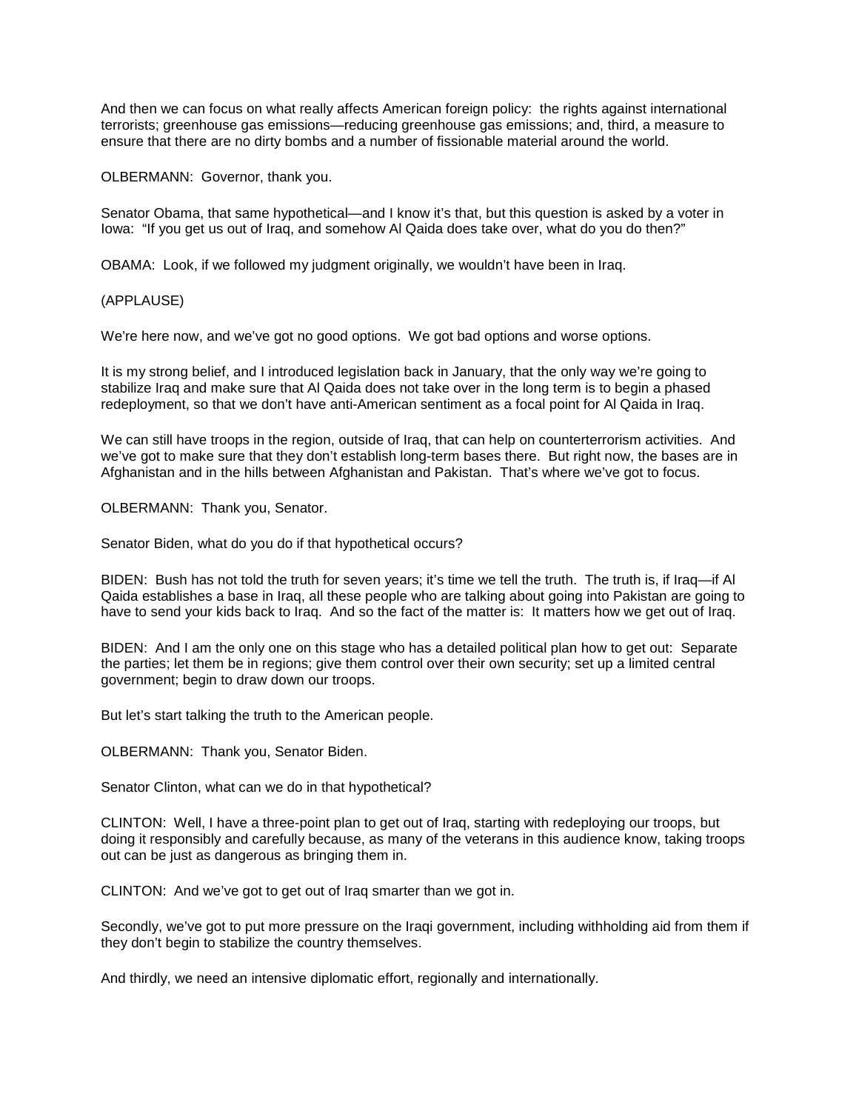And then we can focus on what really affects American foreign policy: the rights against international terrorists; greenhouse gas emissions—reducing greenhouse gas emissions; and, third, a measure to ensure that there are no dirty bombs and a number of fissionable material around the world.

OLBERMANN: Governor, thank you.

Senator Obama, that same hypothetical—and I know it's that, but this question is asked by a voter in Iowa: "If you get us out of Iraq, and somehow Al Qaida does take over, what do you do then?"

OBAMA: Look, if we followed my judgment originally, we wouldn't have been in Iraq.

(APPLAUSE)

We're here now, and we've got no good options. We got bad options and worse options.

It is my strong belief, and I introduced legislation back in January, that the only way we're going to stabilize Iraq and make sure that Al Qaida does not take over in the long term is to begin a phased redeployment, so that we don't have anti-American sentiment as a focal point for Al Qaida in Iraq.

We can still have troops in the region, outside of Iraq, that can help on counterterrorism activities. And we've got to make sure that they don't establish long-term bases there. But right now, the bases are in Afghanistan and in the hills between Afghanistan and Pakistan. That's where we've got to focus.

OLBERMANN: Thank you, Senator.

Senator Biden, what do you do if that hypothetical occurs?

BIDEN: Bush has not told the truth for seven years; it's time we tell the truth. The truth is, if Iraq—if Al Qaida establishes a base in Iraq, all these people who are talking about going into Pakistan are going to have to send your kids back to Iraq. And so the fact of the matter is: It matters how we get out of Iraq.

BIDEN: And I am the only one on this stage who has a detailed political plan how to get out: Separate the parties; let them be in regions; give them control over their own security; set up a limited central government; begin to draw down our troops.

But let's start talking the truth to the American people.

OLBERMANN: Thank you, Senator Biden.

Senator Clinton, what can we do in that hypothetical?

CLINTON: Well, I have a three-point plan to get out of Iraq, starting with redeploying our troops, but doing it responsibly and carefully because, as many of the veterans in this audience know, taking troops out can be just as dangerous as bringing them in.

CLINTON: And we've got to get out of Iraq smarter than we got in.

Secondly, we've got to put more pressure on the Iraqi government, including withholding aid from them if they don't begin to stabilize the country themselves.

And thirdly, we need an intensive diplomatic effort, regionally and internationally.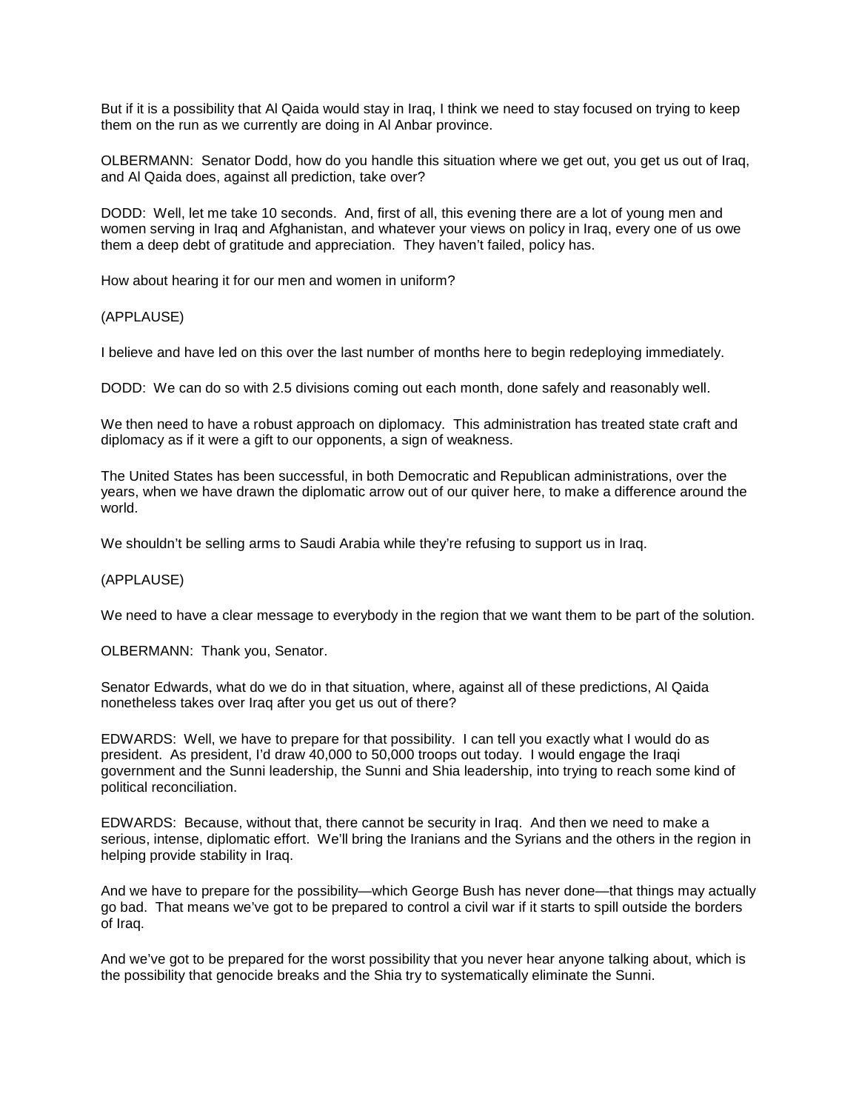But if it is a possibility that Al Qaida would stay in Iraq, I think we need to stay focused on trying to keep them on the run as we currently are doing in Al Anbar province.

OLBERMANN: Senator Dodd, how do you handle this situation where we get out, you get us out of Iraq, and Al Qaida does, against all prediction, take over?

DODD: Well, let me take 10 seconds. And, first of all, this evening there are a lot of young men and women serving in Iraq and Afghanistan, and whatever your views on policy in Iraq, every one of us owe them a deep debt of gratitude and appreciation. They haven't failed, policy has.

How about hearing it for our men and women in uniform?

(APPLAUSE)

I believe and have led on this over the last number of months here to begin redeploying immediately.

DODD: We can do so with 2.5 divisions coming out each month, done safely and reasonably well.

We then need to have a robust approach on diplomacy. This administration has treated state craft and diplomacy as if it were a gift to our opponents, a sign of weakness.

The United States has been successful, in both Democratic and Republican administrations, over the years, when we have drawn the diplomatic arrow out of our quiver here, to make a difference around the world.

We shouldn't be selling arms to Saudi Arabia while they're refusing to support us in Iraq.

(APPLAUSE)

We need to have a clear message to everybody in the region that we want them to be part of the solution.

OLBERMANN: Thank you, Senator.

Senator Edwards, what do we do in that situation, where, against all of these predictions, Al Qaida nonetheless takes over Iraq after you get us out of there?

EDWARDS: Well, we have to prepare for that possibility. I can tell you exactly what I would do as president. As president, I'd draw 40,000 to 50,000 troops out today. I would engage the Iraqi government and the Sunni leadership, the Sunni and Shia leadership, into trying to reach some kind of political reconciliation.

EDWARDS: Because, without that, there cannot be security in Iraq. And then we need to make a serious, intense, diplomatic effort. We'll bring the Iranians and the Syrians and the others in the region in helping provide stability in Iraq.

And we have to prepare for the possibility—which George Bush has never done—that things may actually go bad. That means we've got to be prepared to control a civil war if it starts to spill outside the borders of Iraq.

And we've got to be prepared for the worst possibility that you never hear anyone talking about, which is the possibility that genocide breaks and the Shia try to systematically eliminate the Sunni.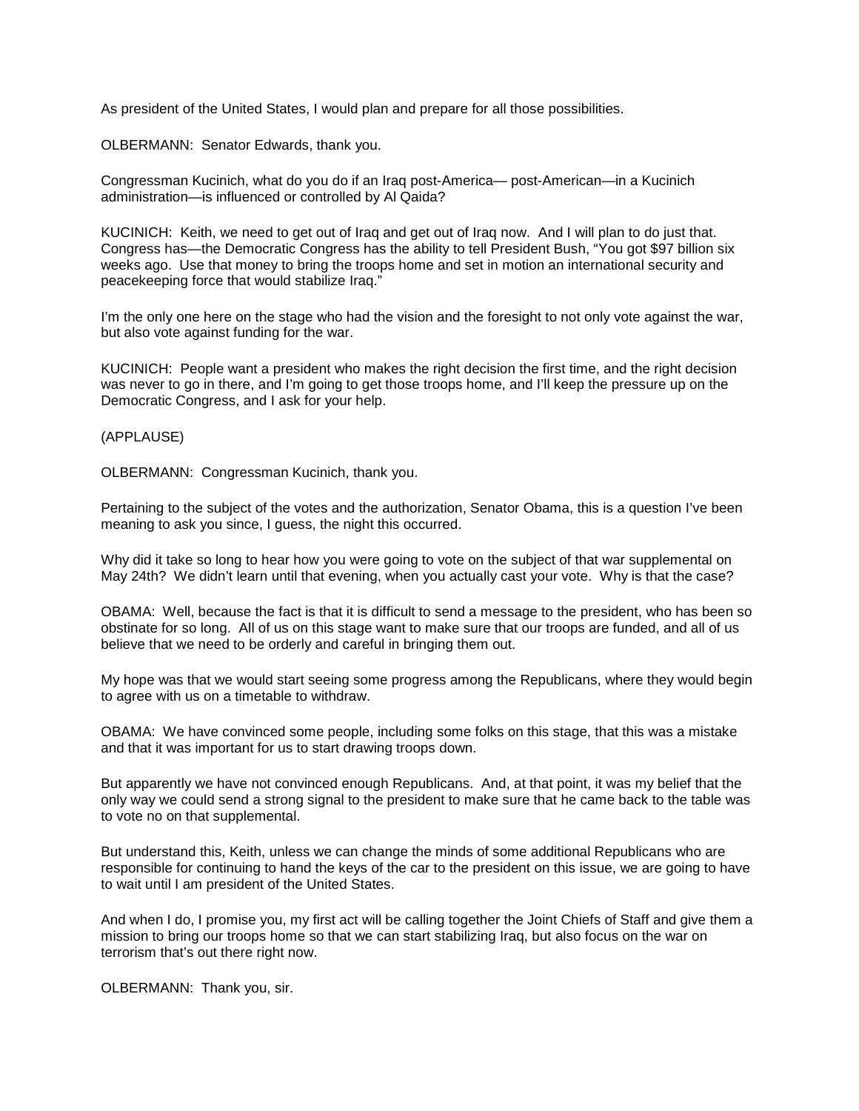As president of the United States, I would plan and prepare for all those possibilities.

OLBERMANN: Senator Edwards, thank you.

Congressman Kucinich, what do you do if an Iraq post-America— post-American—in a Kucinich administration—is influenced or controlled by Al Qaida?

KUCINICH: Keith, we need to get out of Iraq and get out of Iraq now. And I will plan to do just that. Congress has—the Democratic Congress has the ability to tell President Bush, "You got \$97 billion six weeks ago. Use that money to bring the troops home and set in motion an international security and peacekeeping force that would stabilize Iraq."

I'm the only one here on the stage who had the vision and the foresight to not only vote against the war, but also vote against funding for the war.

KUCINICH: People want a president who makes the right decision the first time, and the right decision was never to go in there, and I'm going to get those troops home, and I'll keep the pressure up on the Democratic Congress, and I ask for your help.

(APPLAUSE)

OLBERMANN: Congressman Kucinich, thank you.

Pertaining to the subject of the votes and the authorization, Senator Obama, this is a question I've been meaning to ask you since, I guess, the night this occurred.

Why did it take so long to hear how you were going to vote on the subject of that war supplemental on May 24th? We didn't learn until that evening, when you actually cast your vote. Why is that the case?

OBAMA: Well, because the fact is that it is difficult to send a message to the president, who has been so obstinate for so long. All of us on this stage want to make sure that our troops are funded, and all of us believe that we need to be orderly and careful in bringing them out.

My hope was that we would start seeing some progress among the Republicans, where they would begin to agree with us on a timetable to withdraw.

OBAMA: We have convinced some people, including some folks on this stage, that this was a mistake and that it was important for us to start drawing troops down.

But apparently we have not convinced enough Republicans. And, at that point, it was my belief that the only way we could send a strong signal to the president to make sure that he came back to the table was to vote no on that supplemental.

But understand this, Keith, unless we can change the minds of some additional Republicans who are responsible for continuing to hand the keys of the car to the president on this issue, we are going to have to wait until I am president of the United States.

And when I do, I promise you, my first act will be calling together the Joint Chiefs of Staff and give them a mission to bring our troops home so that we can start stabilizing Iraq, but also focus on the war on terrorism that's out there right now.

OLBERMANN: Thank you, sir.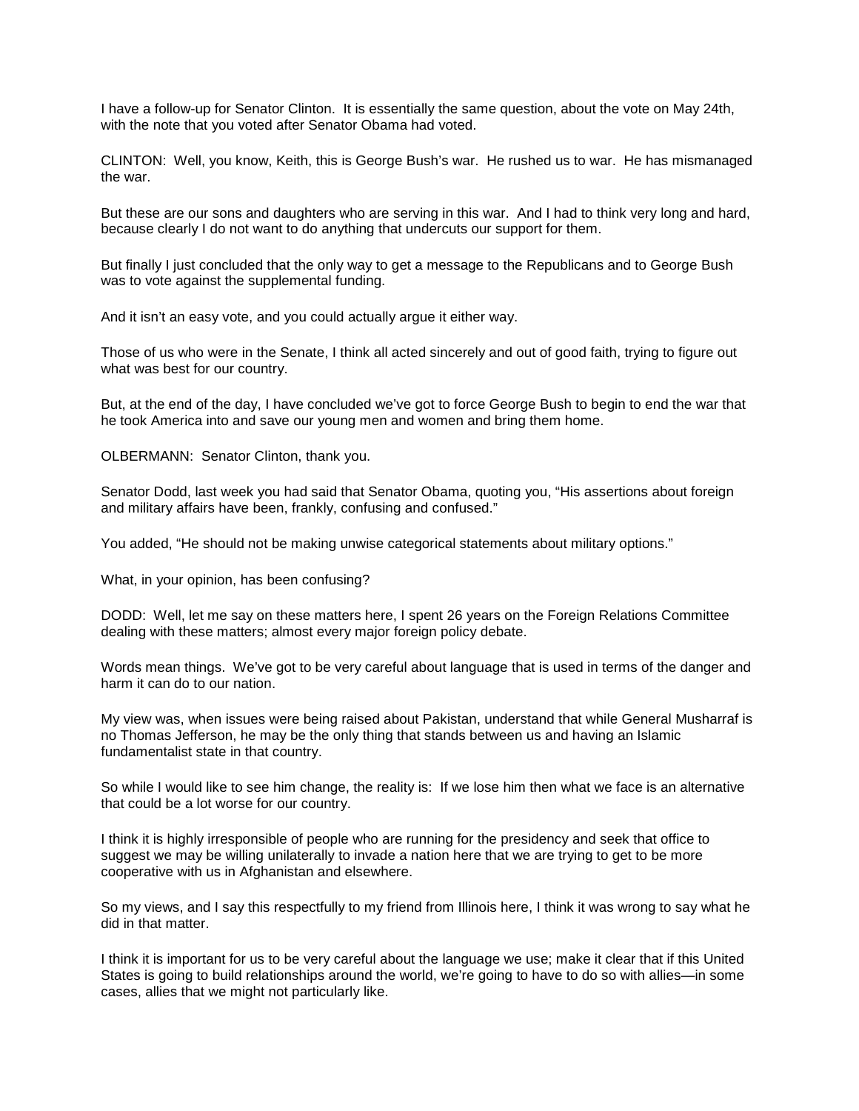I have a follow-up for Senator Clinton. It is essentially the same question, about the vote on May 24th, with the note that you voted after Senator Obama had voted.

CLINTON: Well, you know, Keith, this is George Bush's war. He rushed us to war. He has mismanaged the war.

But these are our sons and daughters who are serving in this war. And I had to think very long and hard, because clearly I do not want to do anything that undercuts our support for them.

But finally I just concluded that the only way to get a message to the Republicans and to George Bush was to vote against the supplemental funding.

And it isn't an easy vote, and you could actually argue it either way.

Those of us who were in the Senate, I think all acted sincerely and out of good faith, trying to figure out what was best for our country.

But, at the end of the day, I have concluded we've got to force George Bush to begin to end the war that he took America into and save our young men and women and bring them home.

OLBERMANN: Senator Clinton, thank you.

Senator Dodd, last week you had said that Senator Obama, quoting you, "His assertions about foreign and military affairs have been, frankly, confusing and confused."

You added, "He should not be making unwise categorical statements about military options."

What, in your opinion, has been confusing?

DODD: Well, let me say on these matters here, I spent 26 years on the Foreign Relations Committee dealing with these matters; almost every major foreign policy debate.

Words mean things. We've got to be very careful about language that is used in terms of the danger and harm it can do to our nation.

My view was, when issues were being raised about Pakistan, understand that while General Musharraf is no Thomas Jefferson, he may be the only thing that stands between us and having an Islamic fundamentalist state in that country.

So while I would like to see him change, the reality is: If we lose him then what we face is an alternative that could be a lot worse for our country.

I think it is highly irresponsible of people who are running for the presidency and seek that office to suggest we may be willing unilaterally to invade a nation here that we are trying to get to be more cooperative with us in Afghanistan and elsewhere.

So my views, and I say this respectfully to my friend from Illinois here, I think it was wrong to say what he did in that matter.

I think it is important for us to be very careful about the language we use; make it clear that if this United States is going to build relationships around the world, we're going to have to do so with allies—in some cases, allies that we might not particularly like.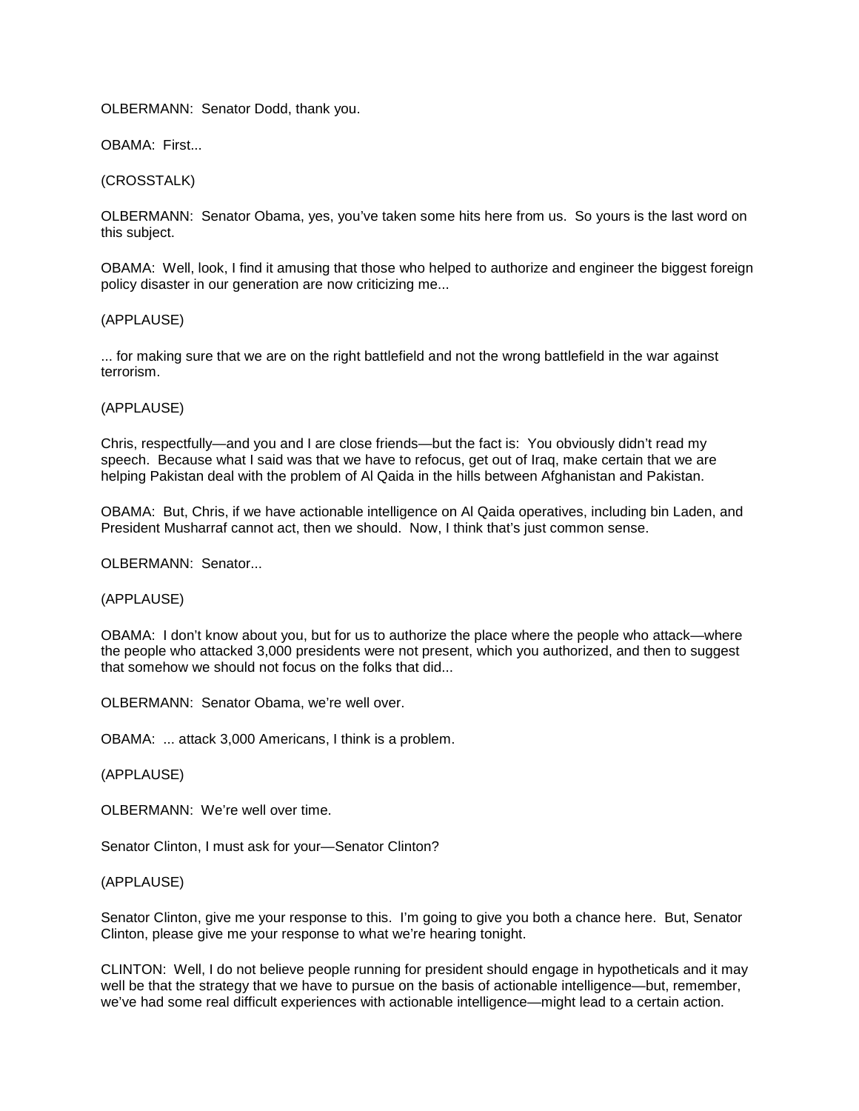OLBERMANN: Senator Dodd, thank you.

OBAMA: First...

# (CROSSTALK)

OLBERMANN: Senator Obama, yes, you've taken some hits here from us. So yours is the last word on this subject.

OBAMA: Well, look, I find it amusing that those who helped to authorize and engineer the biggest foreign policy disaster in our generation are now criticizing me...

(APPLAUSE)

... for making sure that we are on the right battlefield and not the wrong battlefield in the war against terrorism.

(APPLAUSE)

Chris, respectfully—and you and I are close friends—but the fact is: You obviously didn't read my speech. Because what I said was that we have to refocus, get out of Iraq, make certain that we are helping Pakistan deal with the problem of Al Qaida in the hills between Afghanistan and Pakistan.

OBAMA: But, Chris, if we have actionable intelligence on Al Qaida operatives, including bin Laden, and President Musharraf cannot act, then we should. Now, I think that's just common sense.

OLBERMANN: Senator...

(APPLAUSE)

OBAMA: I don't know about you, but for us to authorize the place where the people who attack—where the people who attacked 3,000 presidents were not present, which you authorized, and then to suggest that somehow we should not focus on the folks that did...

OLBERMANN: Senator Obama, we're well over.

OBAMA: ... attack 3,000 Americans, I think is a problem.

(APPLAUSE)

OLBERMANN: We're well over time.

Senator Clinton, I must ask for your—Senator Clinton?

(APPLAUSE)

Senator Clinton, give me your response to this. I'm going to give you both a chance here. But, Senator Clinton, please give me your response to what we're hearing tonight.

CLINTON: Well, I do not believe people running for president should engage in hypotheticals and it may well be that the strategy that we have to pursue on the basis of actionable intelligence—but, remember, we've had some real difficult experiences with actionable intelligence—might lead to a certain action.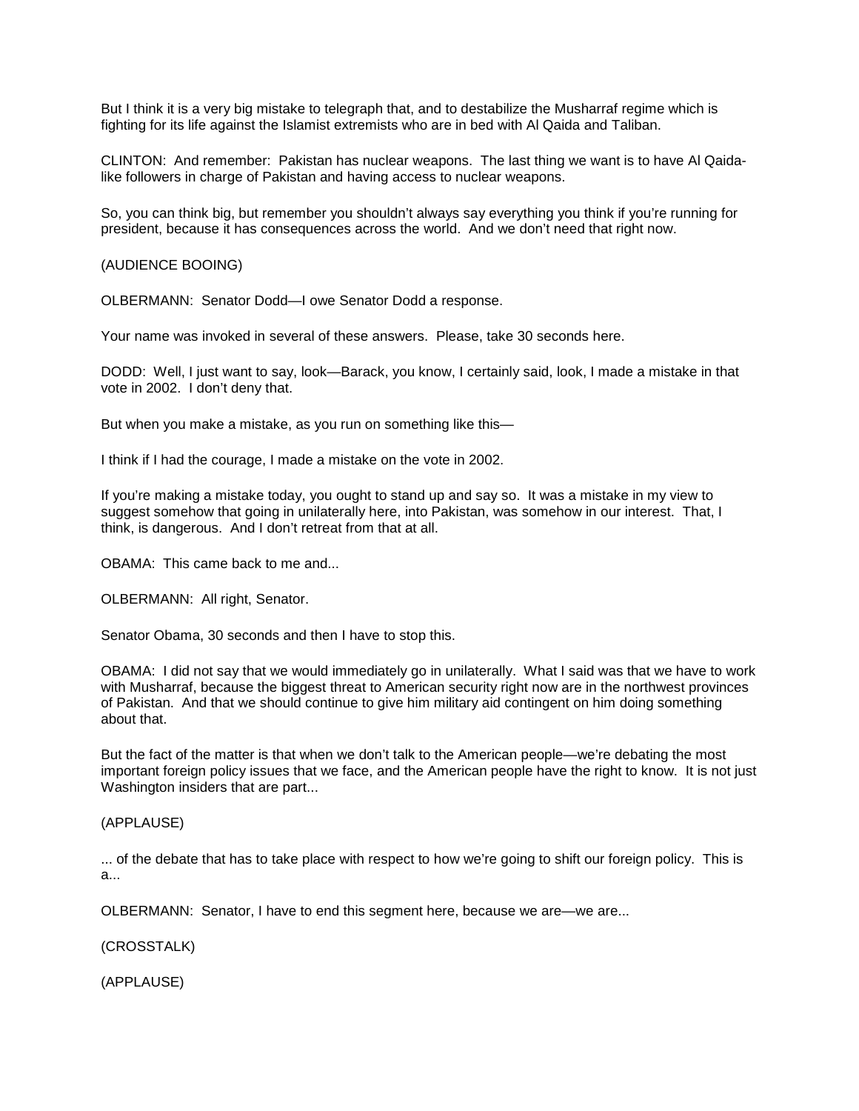But I think it is a very big mistake to telegraph that, and to destabilize the Musharraf regime which is fighting for its life against the Islamist extremists who are in bed with Al Qaida and Taliban.

CLINTON: And remember: Pakistan has nuclear weapons. The last thing we want is to have Al Qaidalike followers in charge of Pakistan and having access to nuclear weapons.

So, you can think big, but remember you shouldn't always say everything you think if you're running for president, because it has consequences across the world. And we don't need that right now.

(AUDIENCE BOOING)

OLBERMANN: Senator Dodd—I owe Senator Dodd a response.

Your name was invoked in several of these answers. Please, take 30 seconds here.

DODD: Well, I just want to say, look—Barack, you know, I certainly said, look, I made a mistake in that vote in 2002. I don't deny that.

But when you make a mistake, as you run on something like this—

I think if I had the courage, I made a mistake on the vote in 2002.

If you're making a mistake today, you ought to stand up and say so. It was a mistake in my view to suggest somehow that going in unilaterally here, into Pakistan, was somehow in our interest. That, I think, is dangerous. And I don't retreat from that at all.

OBAMA: This came back to me and...

OLBERMANN: All right, Senator.

Senator Obama, 30 seconds and then I have to stop this.

OBAMA: I did not say that we would immediately go in unilaterally. What I said was that we have to work with Musharraf, because the biggest threat to American security right now are in the northwest provinces of Pakistan. And that we should continue to give him military aid contingent on him doing something about that.

But the fact of the matter is that when we don't talk to the American people—we're debating the most important foreign policy issues that we face, and the American people have the right to know. It is not just Washington insiders that are part...

(APPLAUSE)

... of the debate that has to take place with respect to how we're going to shift our foreign policy. This is a...

OLBERMANN: Senator, I have to end this segment here, because we are—we are...

(CROSSTALK)

(APPLAUSE)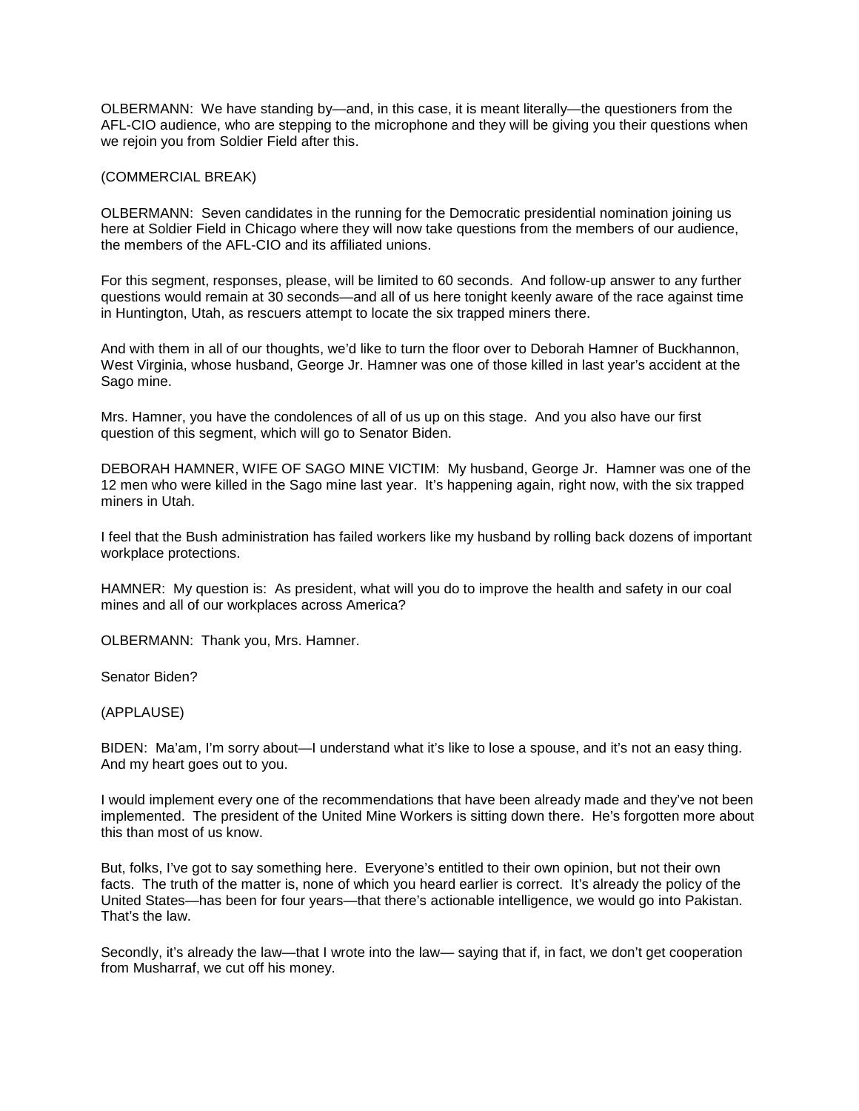OLBERMANN: We have standing by—and, in this case, it is meant literally—the questioners from the AFL-CIO audience, who are stepping to the microphone and they will be giving you their questions when we rejoin you from Soldier Field after this.

## (COMMERCIAL BREAK)

OLBERMANN: Seven candidates in the running for the Democratic presidential nomination joining us here at Soldier Field in Chicago where they will now take questions from the members of our audience, the members of the AFL-CIO and its affiliated unions.

For this segment, responses, please, will be limited to 60 seconds. And follow-up answer to any further questions would remain at 30 seconds—and all of us here tonight keenly aware of the race against time in Huntington, Utah, as rescuers attempt to locate the six trapped miners there.

And with them in all of our thoughts, we'd like to turn the floor over to Deborah Hamner of Buckhannon, West Virginia, whose husband, George Jr. Hamner was one of those killed in last year's accident at the Sago mine.

Mrs. Hamner, you have the condolences of all of us up on this stage. And you also have our first question of this segment, which will go to Senator Biden.

DEBORAH HAMNER, WIFE OF SAGO MINE VICTIM: My husband, George Jr. Hamner was one of the 12 men who were killed in the Sago mine last year. It's happening again, right now, with the six trapped miners in Utah.

I feel that the Bush administration has failed workers like my husband by rolling back dozens of important workplace protections.

HAMNER: My question is: As president, what will you do to improve the health and safety in our coal mines and all of our workplaces across America?

OLBERMANN: Thank you, Mrs. Hamner.

Senator Biden?

(APPLAUSE)

BIDEN: Ma'am, I'm sorry about—I understand what it's like to lose a spouse, and it's not an easy thing. And my heart goes out to you.

I would implement every one of the recommendations that have been already made and they've not been implemented. The president of the United Mine Workers is sitting down there. He's forgotten more about this than most of us know.

But, folks, I've got to say something here. Everyone's entitled to their own opinion, but not their own facts. The truth of the matter is, none of which you heard earlier is correct. It's already the policy of the United States—has been for four years—that there's actionable intelligence, we would go into Pakistan. That's the law.

Secondly, it's already the law—that I wrote into the law— saying that if, in fact, we don't get cooperation from Musharraf, we cut off his money.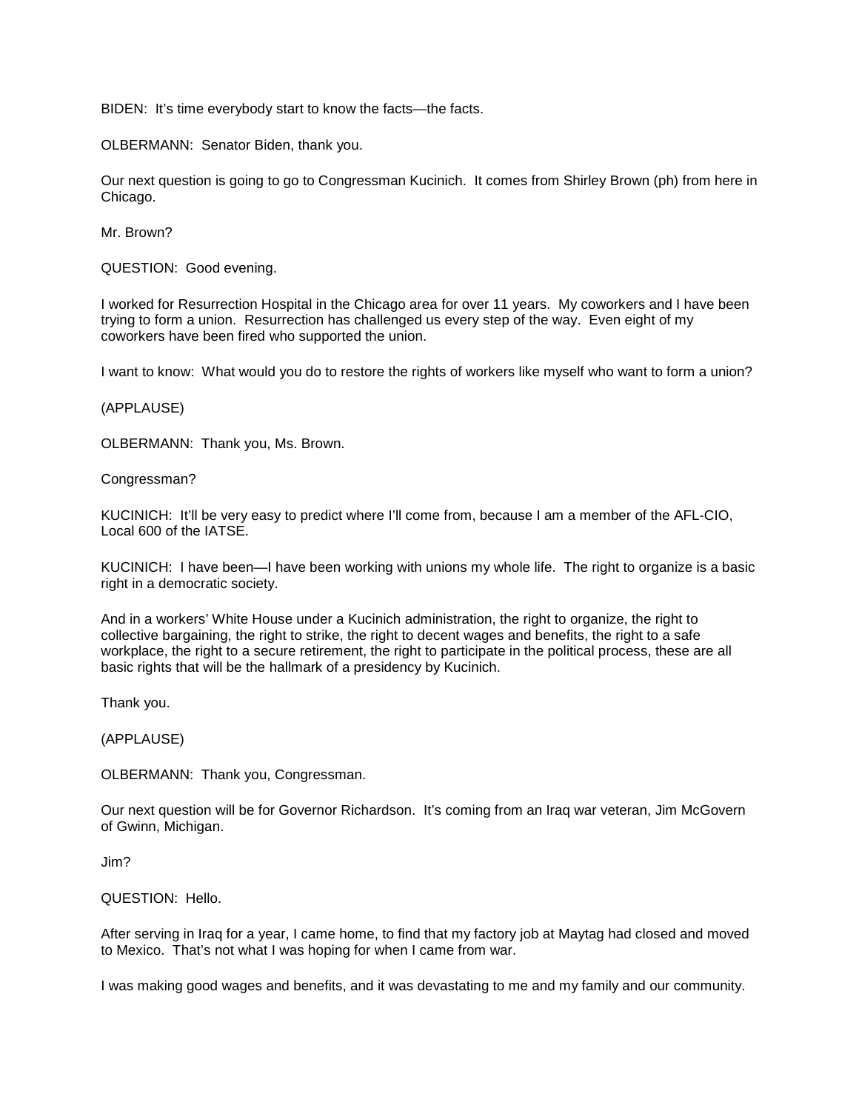BIDEN: It's time everybody start to know the facts—the facts.

OLBERMANN: Senator Biden, thank you.

Our next question is going to go to Congressman Kucinich. It comes from Shirley Brown (ph) from here in Chicago.

Mr. Brown?

QUESTION: Good evening.

I worked for Resurrection Hospital in the Chicago area for over 11 years. My coworkers and I have been trying to form a union. Resurrection has challenged us every step of the way. Even eight of my coworkers have been fired who supported the union.

I want to know: What would you do to restore the rights of workers like myself who want to form a union?

## (APPLAUSE)

OLBERMANN: Thank you, Ms. Brown.

## Congressman?

KUCINICH: It'll be very easy to predict where I'll come from, because I am a member of the AFL-CIO, Local 600 of the IATSE.

KUCINICH: I have been—I have been working with unions my whole life. The right to organize is a basic right in a democratic society.

And in a workers' White House under a Kucinich administration, the right to organize, the right to collective bargaining, the right to strike, the right to decent wages and benefits, the right to a safe workplace, the right to a secure retirement, the right to participate in the political process, these are all basic rights that will be the hallmark of a presidency by Kucinich.

Thank you.

### (APPLAUSE)

OLBERMANN: Thank you, Congressman.

Our next question will be for Governor Richardson. It's coming from an Iraq war veteran, Jim McGovern of Gwinn, Michigan.

Jim?

# QUESTION: Hello.

After serving in Iraq for a year, I came home, to find that my factory job at Maytag had closed and moved to Mexico. That's not what I was hoping for when I came from war.

I was making good wages and benefits, and it was devastating to me and my family and our community.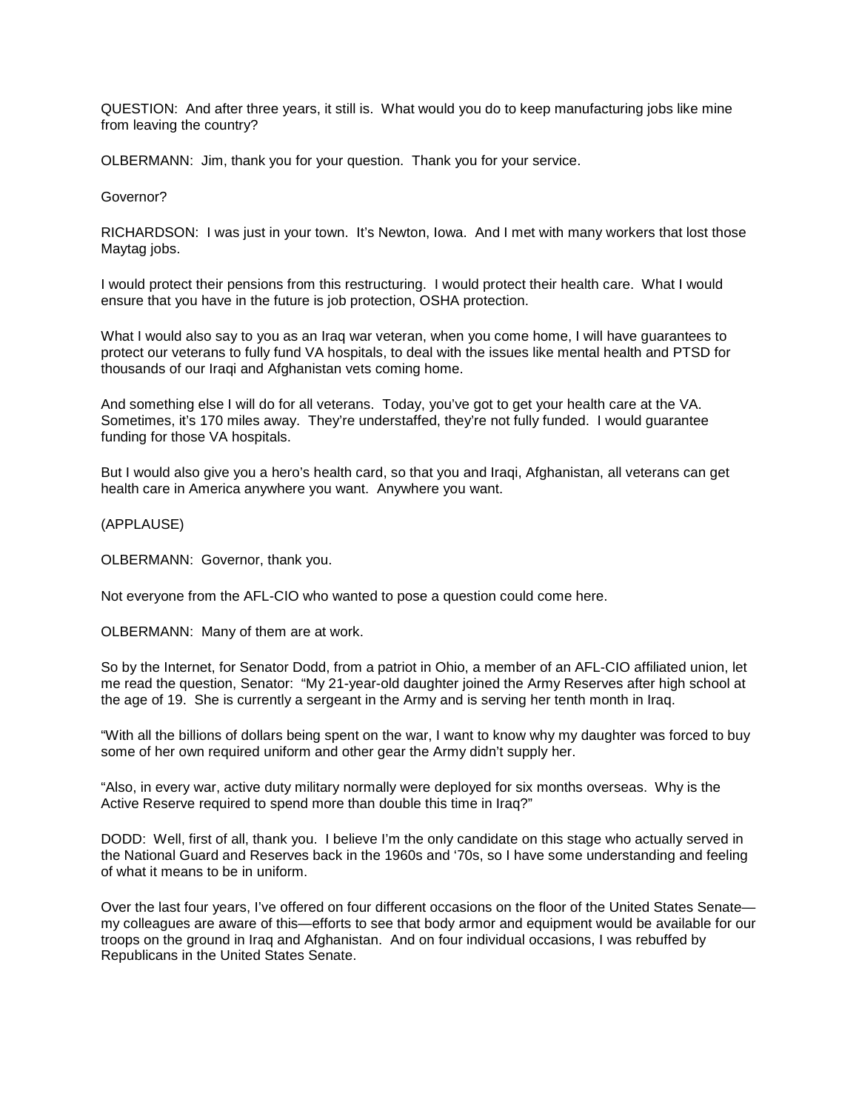QUESTION: And after three years, it still is. What would you do to keep manufacturing jobs like mine from leaving the country?

OLBERMANN: Jim, thank you for your question. Thank you for your service.

### Governor?

RICHARDSON: I was just in your town. It's Newton, Iowa. And I met with many workers that lost those Maytag jobs.

I would protect their pensions from this restructuring. I would protect their health care. What I would ensure that you have in the future is job protection, OSHA protection.

What I would also say to you as an Iraq war veteran, when you come home, I will have guarantees to protect our veterans to fully fund VA hospitals, to deal with the issues like mental health and PTSD for thousands of our Iraqi and Afghanistan vets coming home.

And something else I will do for all veterans. Today, you've got to get your health care at the VA. Sometimes, it's 170 miles away. They're understaffed, they're not fully funded. I would guarantee funding for those VA hospitals.

But I would also give you a hero's health card, so that you and Iraqi, Afghanistan, all veterans can get health care in America anywhere you want. Anywhere you want.

## (APPLAUSE)

OLBERMANN: Governor, thank you.

Not everyone from the AFL-CIO who wanted to pose a question could come here.

OLBERMANN: Many of them are at work.

So by the Internet, for Senator Dodd, from a patriot in Ohio, a member of an AFL-CIO affiliated union, let me read the question, Senator: "My 21-year-old daughter joined the Army Reserves after high school at the age of 19. She is currently a sergeant in the Army and is serving her tenth month in Iraq.

"With all the billions of dollars being spent on the war, I want to know why my daughter was forced to buy some of her own required uniform and other gear the Army didn't supply her.

"Also, in every war, active duty military normally were deployed for six months overseas. Why is the Active Reserve required to spend more than double this time in Iraq?"

DODD: Well, first of all, thank you. I believe I'm the only candidate on this stage who actually served in the National Guard and Reserves back in the 1960s and '70s, so I have some understanding and feeling of what it means to be in uniform.

Over the last four years, I've offered on four different occasions on the floor of the United States Senate my colleagues are aware of this—efforts to see that body armor and equipment would be available for our troops on the ground in Iraq and Afghanistan. And on four individual occasions, I was rebuffed by Republicans in the United States Senate.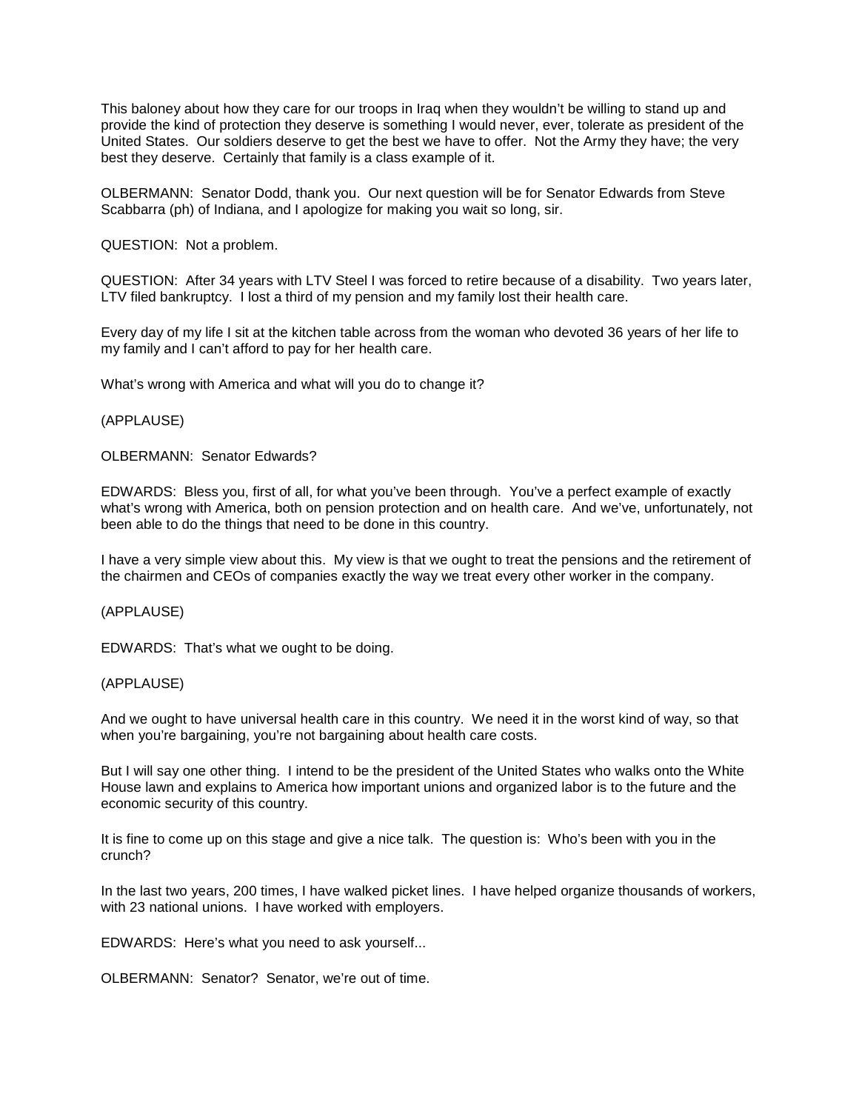This baloney about how they care for our troops in Iraq when they wouldn't be willing to stand up and provide the kind of protection they deserve is something I would never, ever, tolerate as president of the United States. Our soldiers deserve to get the best we have to offer. Not the Army they have; the very best they deserve. Certainly that family is a class example of it.

OLBERMANN: Senator Dodd, thank you. Our next question will be for Senator Edwards from Steve Scabbarra (ph) of Indiana, and I apologize for making you wait so long, sir.

QUESTION: Not a problem.

QUESTION: After 34 years with LTV Steel I was forced to retire because of a disability. Two years later, LTV filed bankruptcy. I lost a third of my pension and my family lost their health care.

Every day of my life I sit at the kitchen table across from the woman who devoted 36 years of her life to my family and I can't afford to pay for her health care.

What's wrong with America and what will you do to change it?

### (APPLAUSE)

OLBERMANN: Senator Edwards?

EDWARDS: Bless you, first of all, for what you've been through. You've a perfect example of exactly what's wrong with America, both on pension protection and on health care. And we've, unfortunately, not been able to do the things that need to be done in this country.

I have a very simple view about this. My view is that we ought to treat the pensions and the retirement of the chairmen and CEOs of companies exactly the way we treat every other worker in the company.

### (APPLAUSE)

EDWARDS: That's what we ought to be doing.

### (APPLAUSE)

And we ought to have universal health care in this country. We need it in the worst kind of way, so that when you're bargaining, you're not bargaining about health care costs.

But I will say one other thing. I intend to be the president of the United States who walks onto the White House lawn and explains to America how important unions and organized labor is to the future and the economic security of this country.

It is fine to come up on this stage and give a nice talk. The question is: Who's been with you in the crunch?

In the last two years, 200 times, I have walked picket lines. I have helped organize thousands of workers, with 23 national unions. I have worked with employers.

EDWARDS: Here's what you need to ask yourself...

OLBERMANN: Senator? Senator, we're out of time.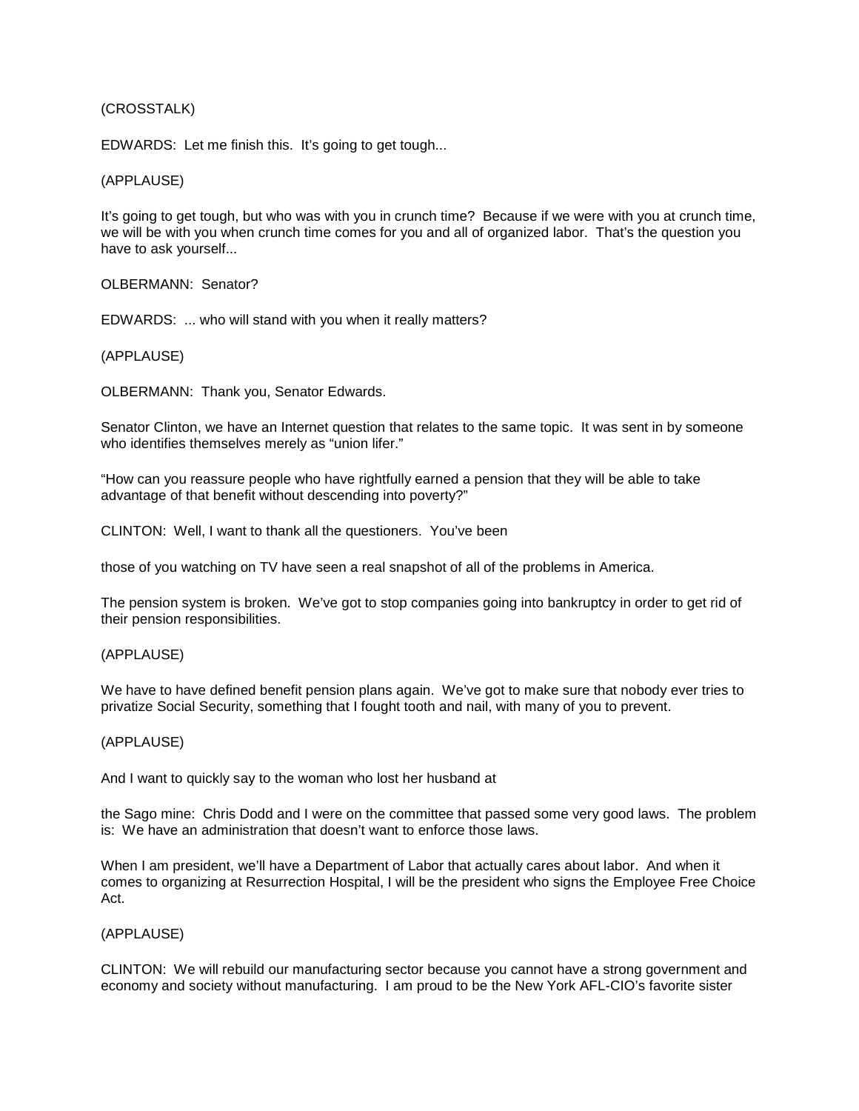# (CROSSTALK)

EDWARDS: Let me finish this. It's going to get tough...

# (APPLAUSE)

It's going to get tough, but who was with you in crunch time? Because if we were with you at crunch time, we will be with you when crunch time comes for you and all of organized labor. That's the question you have to ask yourself...

## OLBERMANN: Senator?

EDWARDS: ... who will stand with you when it really matters?

# (APPLAUSE)

OLBERMANN: Thank you, Senator Edwards.

Senator Clinton, we have an Internet question that relates to the same topic. It was sent in by someone who identifies themselves merely as "union lifer."

"How can you reassure people who have rightfully earned a pension that they will be able to take advantage of that benefit without descending into poverty?"

CLINTON: Well, I want to thank all the questioners. You've been

those of you watching on TV have seen a real snapshot of all of the problems in America.

The pension system is broken. We've got to stop companies going into bankruptcy in order to get rid of their pension responsibilities.

# (APPLAUSE)

We have to have defined benefit pension plans again. We've got to make sure that nobody ever tries to privatize Social Security, something that I fought tooth and nail, with many of you to prevent.

# (APPLAUSE)

And I want to quickly say to the woman who lost her husband at

the Sago mine: Chris Dodd and I were on the committee that passed some very good laws. The problem is: We have an administration that doesn't want to enforce those laws.

When I am president, we'll have a Department of Labor that actually cares about labor. And when it comes to organizing at Resurrection Hospital, I will be the president who signs the Employee Free Choice Act.

# (APPLAUSE)

CLINTON: We will rebuild our manufacturing sector because you cannot have a strong government and economy and society without manufacturing. I am proud to be the New York AFL-CIO's favorite sister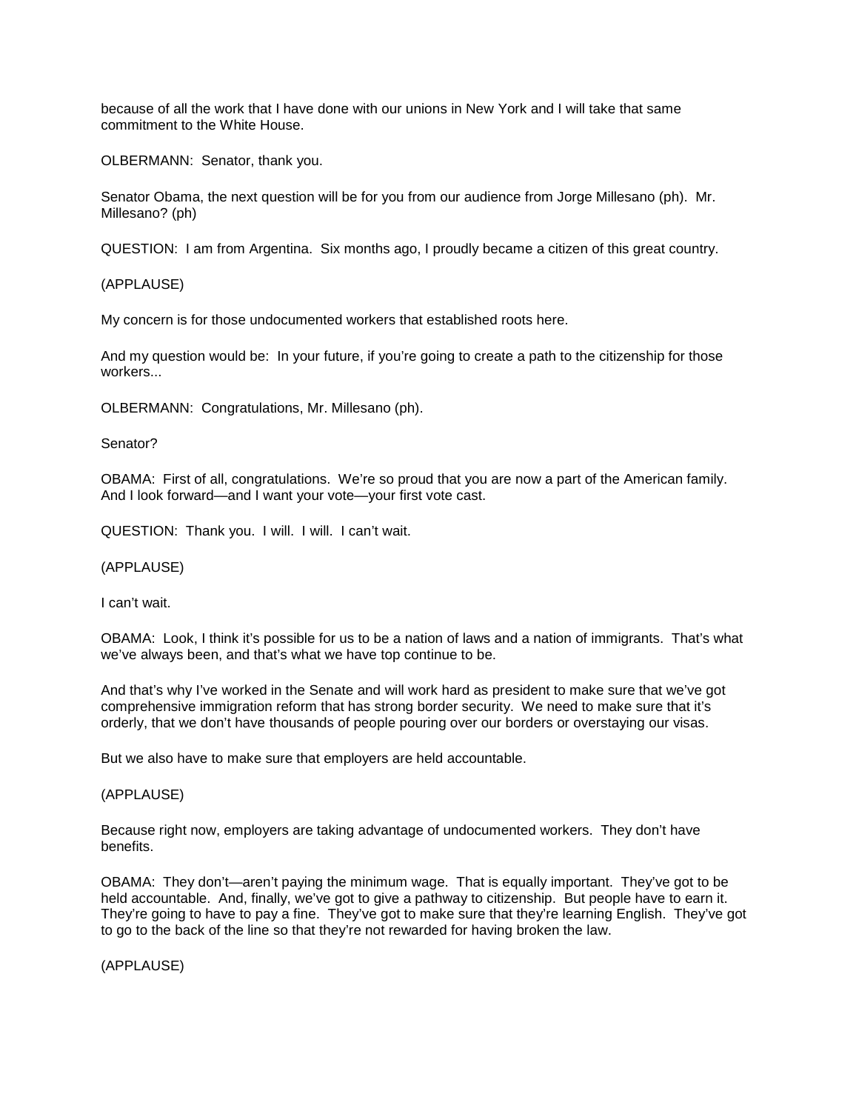because of all the work that I have done with our unions in New York and I will take that same commitment to the White House.

OLBERMANN: Senator, thank you.

Senator Obama, the next question will be for you from our audience from Jorge Millesano (ph). Mr. Millesano? (ph)

QUESTION: I am from Argentina. Six months ago, I proudly became a citizen of this great country.

(APPLAUSE)

My concern is for those undocumented workers that established roots here.

And my question would be: In your future, if you're going to create a path to the citizenship for those workers...

OLBERMANN: Congratulations, Mr. Millesano (ph).

Senator?

OBAMA: First of all, congratulations. We're so proud that you are now a part of the American family. And I look forward—and I want your vote—your first vote cast.

QUESTION: Thank you. I will. I will. I can't wait.

(APPLAUSE)

I can't wait.

OBAMA: Look, I think it's possible for us to be a nation of laws and a nation of immigrants. That's what we've always been, and that's what we have top continue to be.

And that's why I've worked in the Senate and will work hard as president to make sure that we've got comprehensive immigration reform that has strong border security. We need to make sure that it's orderly, that we don't have thousands of people pouring over our borders or overstaying our visas.

But we also have to make sure that employers are held accountable.

(APPLAUSE)

Because right now, employers are taking advantage of undocumented workers. They don't have benefits.

OBAMA: They don't—aren't paying the minimum wage. That is equally important. They've got to be held accountable. And, finally, we've got to give a pathway to citizenship. But people have to earn it. They're going to have to pay a fine. They've got to make sure that they're learning English. They've got to go to the back of the line so that they're not rewarded for having broken the law.

(APPLAUSE)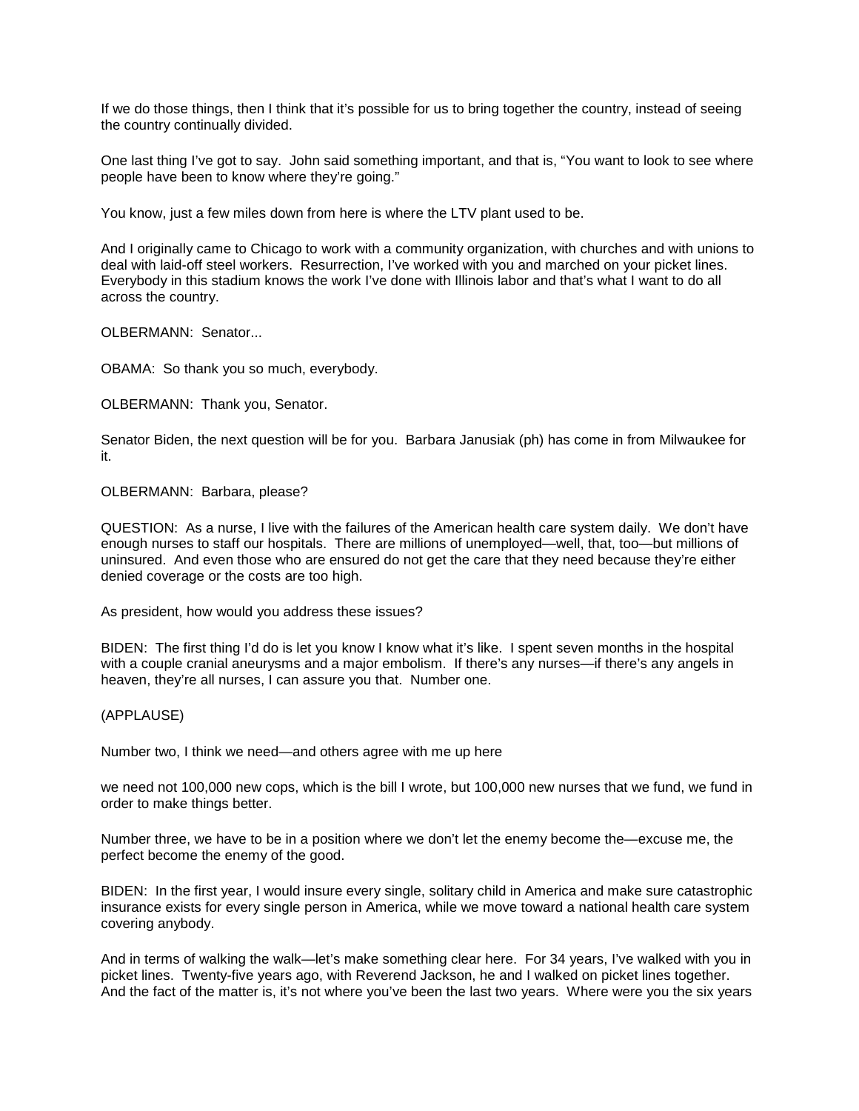If we do those things, then I think that it's possible for us to bring together the country, instead of seeing the country continually divided.

One last thing I've got to say. John said something important, and that is, "You want to look to see where people have been to know where they're going."

You know, just a few miles down from here is where the LTV plant used to be.

And I originally came to Chicago to work with a community organization, with churches and with unions to deal with laid-off steel workers. Resurrection, I've worked with you and marched on your picket lines. Everybody in this stadium knows the work I've done with Illinois labor and that's what I want to do all across the country.

OLBERMANN: Senator...

OBAMA: So thank you so much, everybody.

OLBERMANN: Thank you, Senator.

Senator Biden, the next question will be for you. Barbara Janusiak (ph) has come in from Milwaukee for it.

OLBERMANN: Barbara, please?

QUESTION: As a nurse, I live with the failures of the American health care system daily. We don't have enough nurses to staff our hospitals. There are millions of unemployed—well, that, too—but millions of uninsured. And even those who are ensured do not get the care that they need because they're either denied coverage or the costs are too high.

As president, how would you address these issues?

BIDEN: The first thing I'd do is let you know I know what it's like. I spent seven months in the hospital with a couple cranial aneurysms and a major embolism. If there's any nurses—if there's any angels in heaven, they're all nurses, I can assure you that. Number one.

(APPLAUSE)

Number two, I think we need—and others agree with me up here

we need not 100,000 new cops, which is the bill I wrote, but 100,000 new nurses that we fund, we fund in order to make things better.

Number three, we have to be in a position where we don't let the enemy become the—excuse me, the perfect become the enemy of the good.

BIDEN: In the first year, I would insure every single, solitary child in America and make sure catastrophic insurance exists for every single person in America, while we move toward a national health care system covering anybody.

And in terms of walking the walk—let's make something clear here. For 34 years, I've walked with you in picket lines. Twenty-five years ago, with Reverend Jackson, he and I walked on picket lines together. And the fact of the matter is, it's not where you've been the last two years. Where were you the six years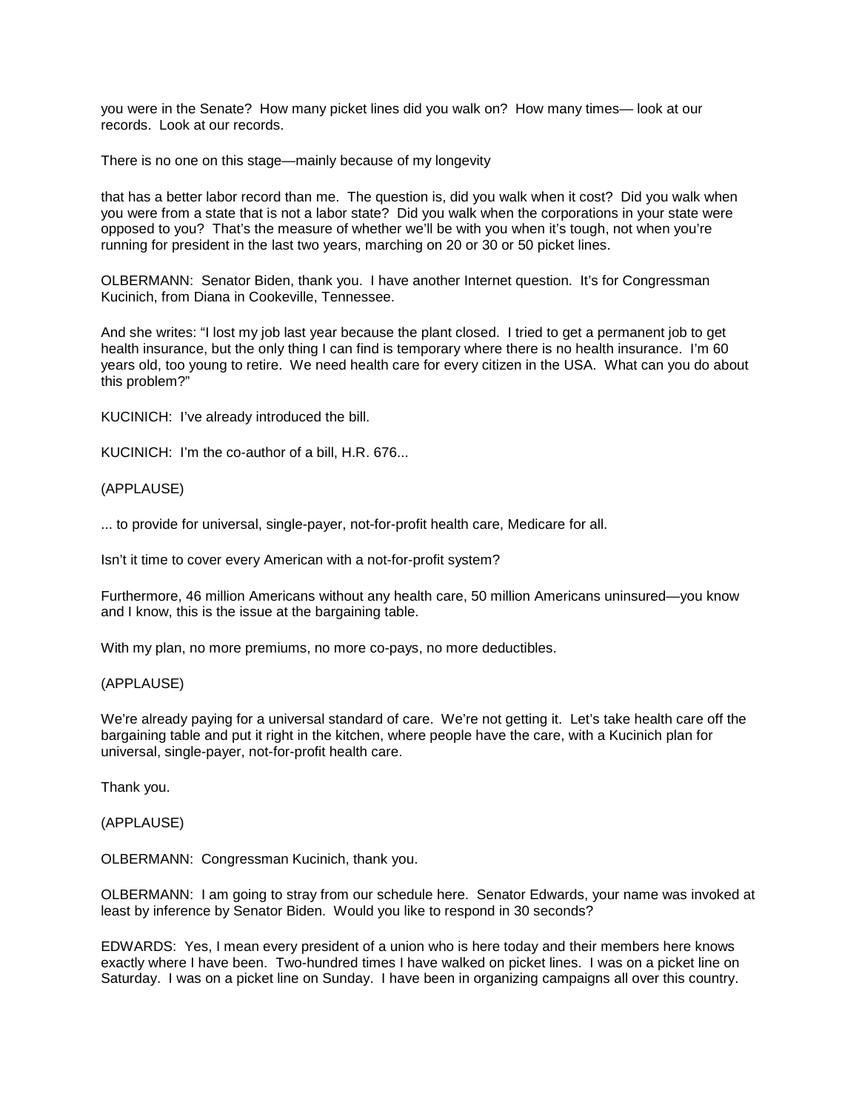you were in the Senate? How many picket lines did you walk on? How many times— look at our records. Look at our records.

There is no one on this stage—mainly because of my longevity

that has a better labor record than me. The question is, did you walk when it cost? Did you walk when you were from a state that is not a labor state? Did you walk when the corporations in your state were opposed to you? That's the measure of whether we'll be with you when it's tough, not when you're running for president in the last two years, marching on 20 or 30 or 50 picket lines.

OLBERMANN: Senator Biden, thank you. I have another Internet question. It's for Congressman Kucinich, from Diana in Cookeville, Tennessee.

And she writes: "I lost my job last year because the plant closed. I tried to get a permanent job to get health insurance, but the only thing I can find is temporary where there is no health insurance. I'm 60 years old, too young to retire. We need health care for every citizen in the USA. What can you do about this problem?"

KUCINICH: I've already introduced the bill.

KUCINICH: I'm the co-author of a bill, H.R. 676...

(APPLAUSE)

... to provide for universal, single-payer, not-for-profit health care, Medicare for all.

Isn't it time to cover every American with a not-for-profit system?

Furthermore, 46 million Americans without any health care, 50 million Americans uninsured—you know and I know, this is the issue at the bargaining table.

With my plan, no more premiums, no more co-pays, no more deductibles.

### (APPLAUSE)

We're already paying for a universal standard of care. We're not getting it. Let's take health care off the bargaining table and put it right in the kitchen, where people have the care, with a Kucinich plan for universal, single-payer, not-for-profit health care.

Thank you.

(APPLAUSE)

OLBERMANN: Congressman Kucinich, thank you.

OLBERMANN: I am going to stray from our schedule here. Senator Edwards, your name was invoked at least by inference by Senator Biden. Would you like to respond in 30 seconds?

EDWARDS: Yes, I mean every president of a union who is here today and their members here knows exactly where I have been. Two-hundred times I have walked on picket lines. I was on a picket line on Saturday. I was on a picket line on Sunday. I have been in organizing campaigns all over this country.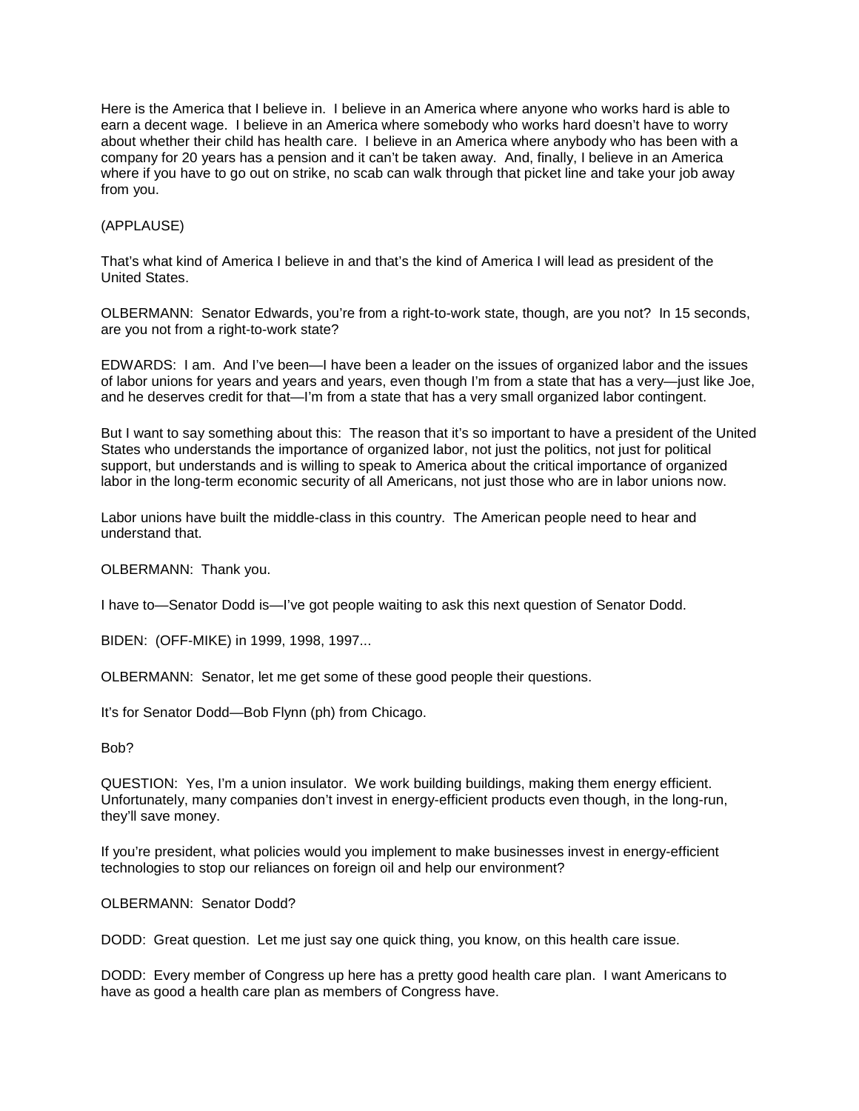Here is the America that I believe in. I believe in an America where anyone who works hard is able to earn a decent wage. I believe in an America where somebody who works hard doesn't have to worry about whether their child has health care. I believe in an America where anybody who has been with a company for 20 years has a pension and it can't be taken away. And, finally, I believe in an America where if you have to go out on strike, no scab can walk through that picket line and take your job away from you.

# (APPLAUSE)

That's what kind of America I believe in and that's the kind of America I will lead as president of the United States.

OLBERMANN: Senator Edwards, you're from a right-to-work state, though, are you not? In 15 seconds, are you not from a right-to-work state?

EDWARDS: I am. And I've been—I have been a leader on the issues of organized labor and the issues of labor unions for years and years and years, even though I'm from a state that has a very—just like Joe, and he deserves credit for that—I'm from a state that has a very small organized labor contingent.

But I want to say something about this: The reason that it's so important to have a president of the United States who understands the importance of organized labor, not just the politics, not just for political support, but understands and is willing to speak to America about the critical importance of organized labor in the long-term economic security of all Americans, not just those who are in labor unions now.

Labor unions have built the middle-class in this country. The American people need to hear and understand that.

OLBERMANN: Thank you.

I have to—Senator Dodd is—I've got people waiting to ask this next question of Senator Dodd.

BIDEN: (OFF-MIKE) in 1999, 1998, 1997...

OLBERMANN: Senator, let me get some of these good people their questions.

It's for Senator Dodd—Bob Flynn (ph) from Chicago.

Bob?

QUESTION: Yes, I'm a union insulator. We work building buildings, making them energy efficient. Unfortunately, many companies don't invest in energy-efficient products even though, in the long-run, they'll save money.

If you're president, what policies would you implement to make businesses invest in energy-efficient technologies to stop our reliances on foreign oil and help our environment?

# OLBERMANN: Senator Dodd?

DODD: Great question. Let me just say one quick thing, you know, on this health care issue.

DODD: Every member of Congress up here has a pretty good health care plan. I want Americans to have as good a health care plan as members of Congress have.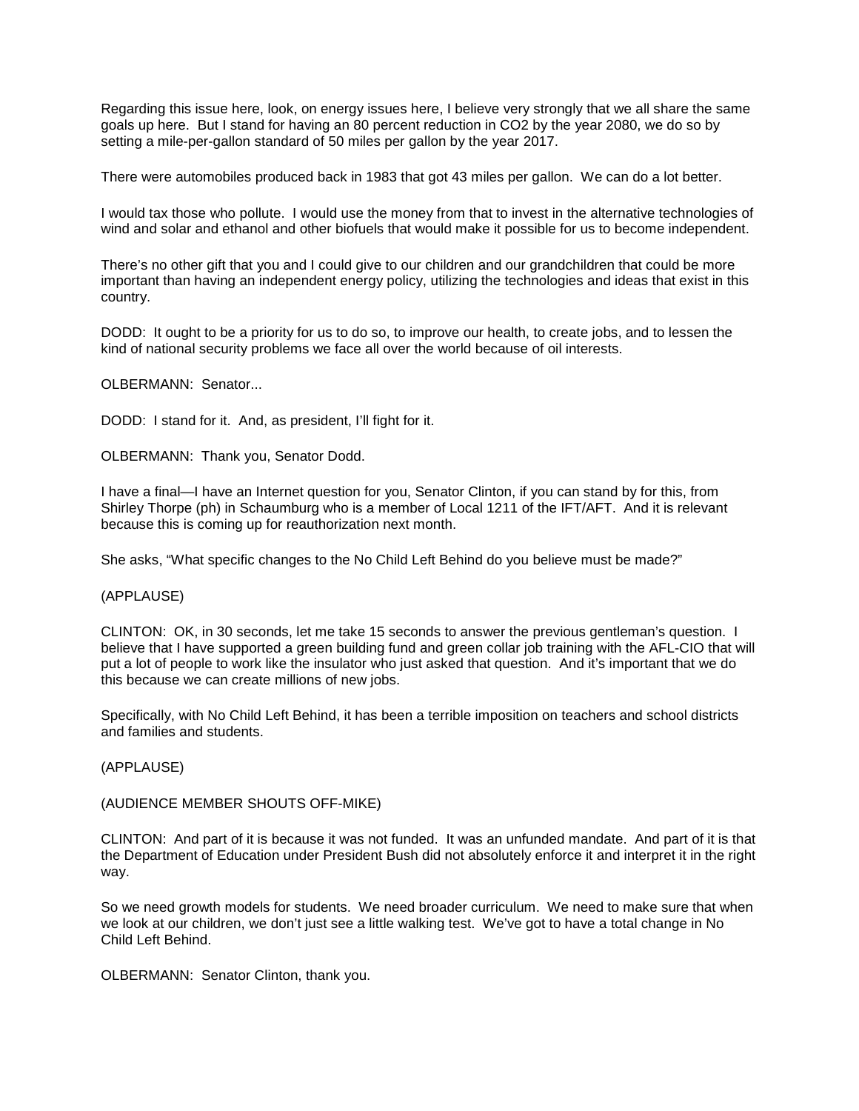Regarding this issue here, look, on energy issues here, I believe very strongly that we all share the same goals up here. But I stand for having an 80 percent reduction in CO2 by the year 2080, we do so by setting a mile-per-gallon standard of 50 miles per gallon by the year 2017.

There were automobiles produced back in 1983 that got 43 miles per gallon. We can do a lot better.

I would tax those who pollute. I would use the money from that to invest in the alternative technologies of wind and solar and ethanol and other biofuels that would make it possible for us to become independent.

There's no other gift that you and I could give to our children and our grandchildren that could be more important than having an independent energy policy, utilizing the technologies and ideas that exist in this country.

DODD: It ought to be a priority for us to do so, to improve our health, to create jobs, and to lessen the kind of national security problems we face all over the world because of oil interests.

OLBERMANN: Senator...

DODD: I stand for it. And, as president, I'll fight for it.

OLBERMANN: Thank you, Senator Dodd.

I have a final—I have an Internet question for you, Senator Clinton, if you can stand by for this, from Shirley Thorpe (ph) in Schaumburg who is a member of Local 1211 of the IFT/AFT. And it is relevant because this is coming up for reauthorization next month.

She asks, "What specific changes to the No Child Left Behind do you believe must be made?"

(APPLAUSE)

CLINTON: OK, in 30 seconds, let me take 15 seconds to answer the previous gentleman's question. I believe that I have supported a green building fund and green collar job training with the AFL-CIO that will put a lot of people to work like the insulator who just asked that question. And it's important that we do this because we can create millions of new jobs.

Specifically, with No Child Left Behind, it has been a terrible imposition on teachers and school districts and families and students.

(APPLAUSE)

(AUDIENCE MEMBER SHOUTS OFF-MIKE)

CLINTON: And part of it is because it was not funded. It was an unfunded mandate. And part of it is that the Department of Education under President Bush did not absolutely enforce it and interpret it in the right way.

So we need growth models for students. We need broader curriculum. We need to make sure that when we look at our children, we don't just see a little walking test. We've got to have a total change in No Child Left Behind.

OLBERMANN: Senator Clinton, thank you.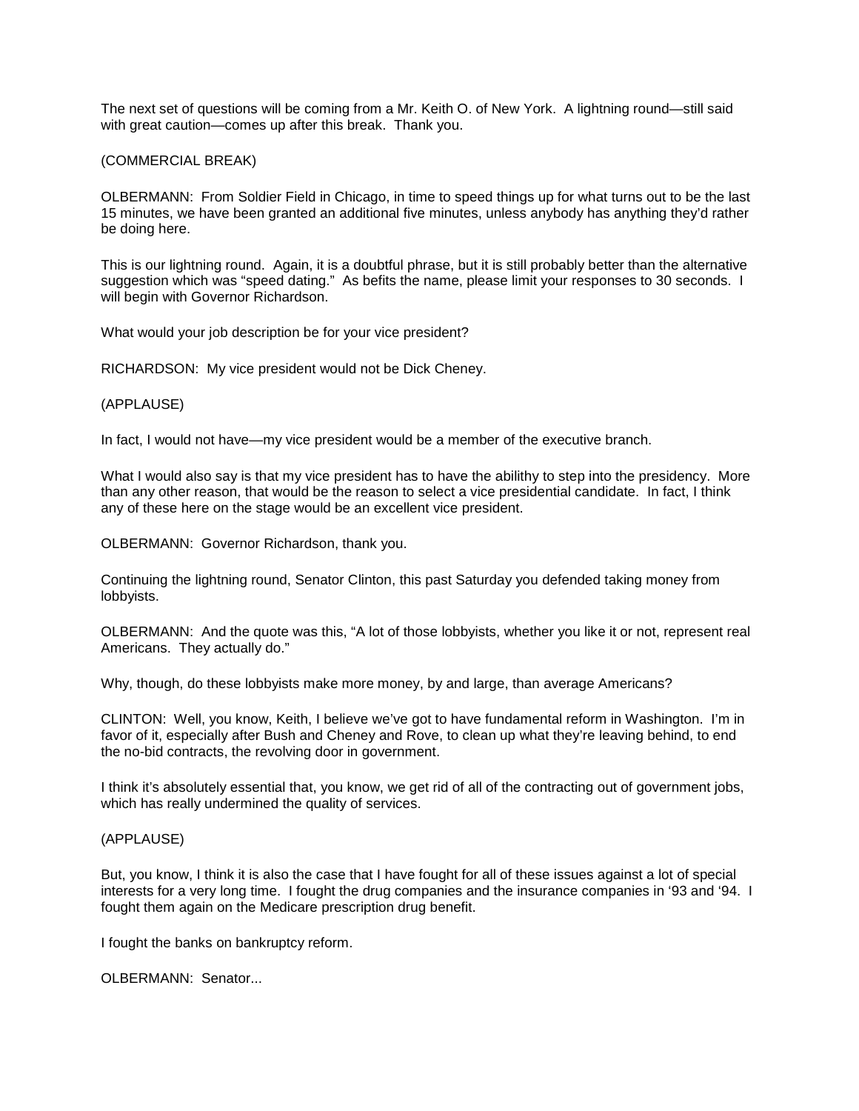The next set of questions will be coming from a Mr. Keith O. of New York. A lightning round—still said with great caution—comes up after this break. Thank you.

## (COMMERCIAL BREAK)

OLBERMANN: From Soldier Field in Chicago, in time to speed things up for what turns out to be the last 15 minutes, we have been granted an additional five minutes, unless anybody has anything they'd rather be doing here.

This is our lightning round. Again, it is a doubtful phrase, but it is still probably better than the alternative suggestion which was "speed dating." As befits the name, please limit your responses to 30 seconds. I will begin with Governor Richardson.

What would your job description be for your vice president?

RICHARDSON: My vice president would not be Dick Cheney.

## (APPLAUSE)

In fact, I would not have—my vice president would be a member of the executive branch.

What I would also say is that my vice president has to have the abilithy to step into the presidency. More than any other reason, that would be the reason to select a vice presidential candidate. In fact, I think any of these here on the stage would be an excellent vice president.

OLBERMANN: Governor Richardson, thank you.

Continuing the lightning round, Senator Clinton, this past Saturday you defended taking money from lobbyists.

OLBERMANN: And the quote was this, "A lot of those lobbyists, whether you like it or not, represent real Americans. They actually do."

Why, though, do these lobbyists make more money, by and large, than average Americans?

CLINTON: Well, you know, Keith, I believe we've got to have fundamental reform in Washington. I'm in favor of it, especially after Bush and Cheney and Rove, to clean up what they're leaving behind, to end the no-bid contracts, the revolving door in government.

I think it's absolutely essential that, you know, we get rid of all of the contracting out of government jobs, which has really undermined the quality of services.

### (APPLAUSE)

But, you know, I think it is also the case that I have fought for all of these issues against a lot of special interests for a very long time. I fought the drug companies and the insurance companies in '93 and '94. I fought them again on the Medicare prescription drug benefit.

I fought the banks on bankruptcy reform.

OLBERMANN: Senator...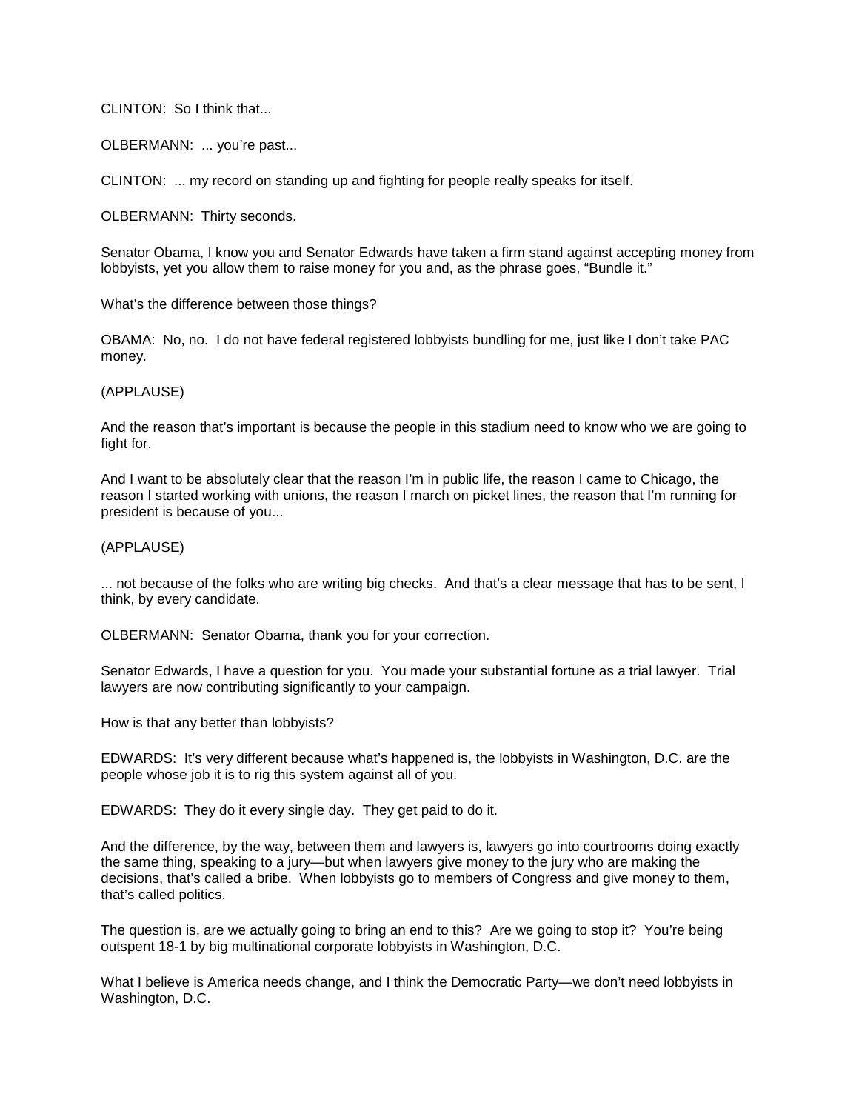# CLINTON: So I think that...

OLBERMANN: ... you're past...

CLINTON: ... my record on standing up and fighting for people really speaks for itself.

OLBERMANN: Thirty seconds.

Senator Obama, I know you and Senator Edwards have taken a firm stand against accepting money from lobbyists, yet you allow them to raise money for you and, as the phrase goes, "Bundle it."

What's the difference between those things?

OBAMA: No, no. I do not have federal registered lobbyists bundling for me, just like I don't take PAC money.

## (APPLAUSE)

And the reason that's important is because the people in this stadium need to know who we are going to fight for.

And I want to be absolutely clear that the reason I'm in public life, the reason I came to Chicago, the reason I started working with unions, the reason I march on picket lines, the reason that I'm running for president is because of you...

## (APPLAUSE)

... not because of the folks who are writing big checks. And that's a clear message that has to be sent, I think, by every candidate.

OLBERMANN: Senator Obama, thank you for your correction.

Senator Edwards, I have a question for you. You made your substantial fortune as a trial lawyer. Trial lawyers are now contributing significantly to your campaign.

How is that any better than lobbyists?

EDWARDS: It's very different because what's happened is, the lobbyists in Washington, D.C. are the people whose job it is to rig this system against all of you.

EDWARDS: They do it every single day. They get paid to do it.

And the difference, by the way, between them and lawyers is, lawyers go into courtrooms doing exactly the same thing, speaking to a jury—but when lawyers give money to the jury who are making the decisions, that's called a bribe. When lobbyists go to members of Congress and give money to them, that's called politics.

The question is, are we actually going to bring an end to this? Are we going to stop it? You're being outspent 18-1 by big multinational corporate lobbyists in Washington, D.C.

What I believe is America needs change, and I think the Democratic Party—we don't need lobbyists in Washington, D.C.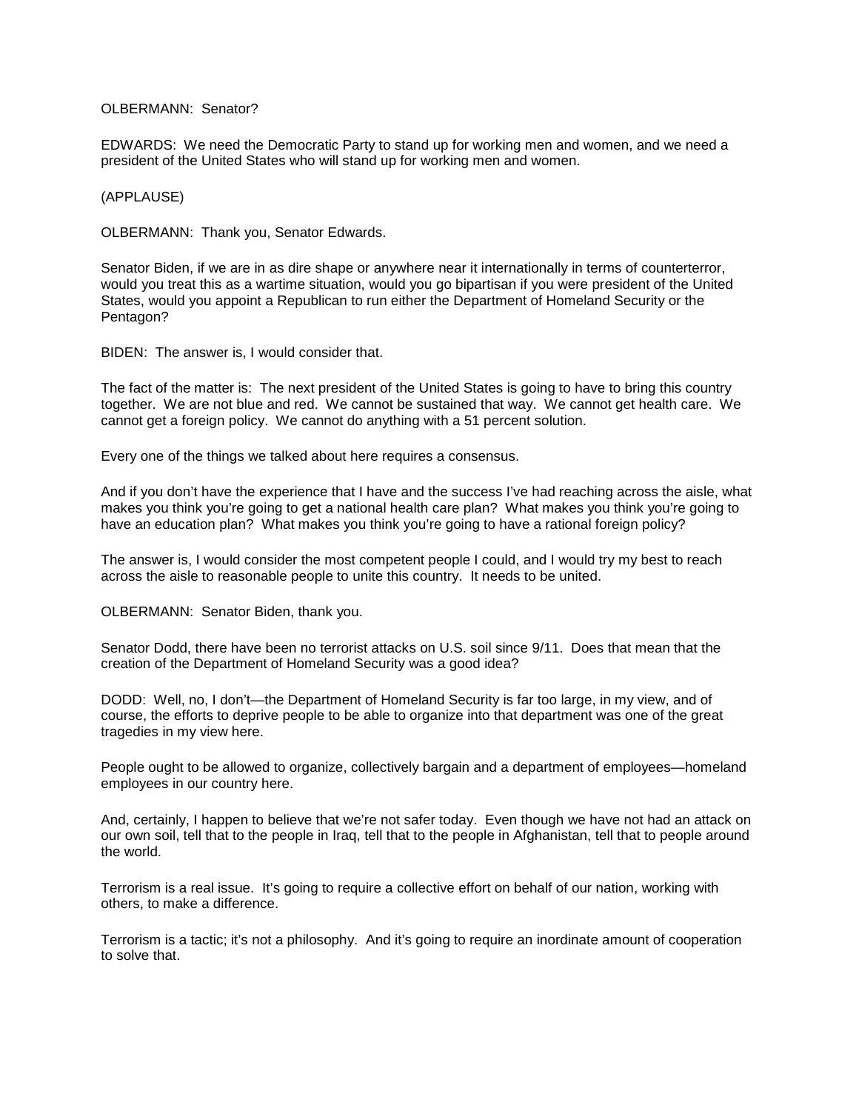# OLBERMANN: Senator?

EDWARDS: We need the Democratic Party to stand up for working men and women, and we need a president of the United States who will stand up for working men and women.

### (APPLAUSE)

OLBERMANN: Thank you, Senator Edwards.

Senator Biden, if we are in as dire shape or anywhere near it internationally in terms of counterterror, would you treat this as a wartime situation, would you go bipartisan if you were president of the United States, would you appoint a Republican to run either the Department of Homeland Security or the Pentagon?

BIDEN: The answer is, I would consider that.

The fact of the matter is: The next president of the United States is going to have to bring this country together. We are not blue and red. We cannot be sustained that way. We cannot get health care. We cannot get a foreign policy. We cannot do anything with a 51 percent solution.

Every one of the things we talked about here requires a consensus.

And if you don't have the experience that I have and the success I've had reaching across the aisle, what makes you think you're going to get a national health care plan? What makes you think you're going to have an education plan? What makes you think you're going to have a rational foreign policy?

The answer is, I would consider the most competent people I could, and I would try my best to reach across the aisle to reasonable people to unite this country. It needs to be united.

OLBERMANN: Senator Biden, thank you.

Senator Dodd, there have been no terrorist attacks on U.S. soil since 9/11. Does that mean that the creation of the Department of Homeland Security was a good idea?

DODD: Well, no, I don't—the Department of Homeland Security is far too large, in my view, and of course, the efforts to deprive people to be able to organize into that department was one of the great tragedies in my view here.

People ought to be allowed to organize, collectively bargain and a department of employees—homeland employees in our country here.

And, certainly, I happen to believe that we're not safer today. Even though we have not had an attack on our own soil, tell that to the people in Iraq, tell that to the people in Afghanistan, tell that to people around the world.

Terrorism is a real issue. It's going to require a collective effort on behalf of our nation, working with others, to make a difference.

Terrorism is a tactic; it's not a philosophy. And it's going to require an inordinate amount of cooperation to solve that.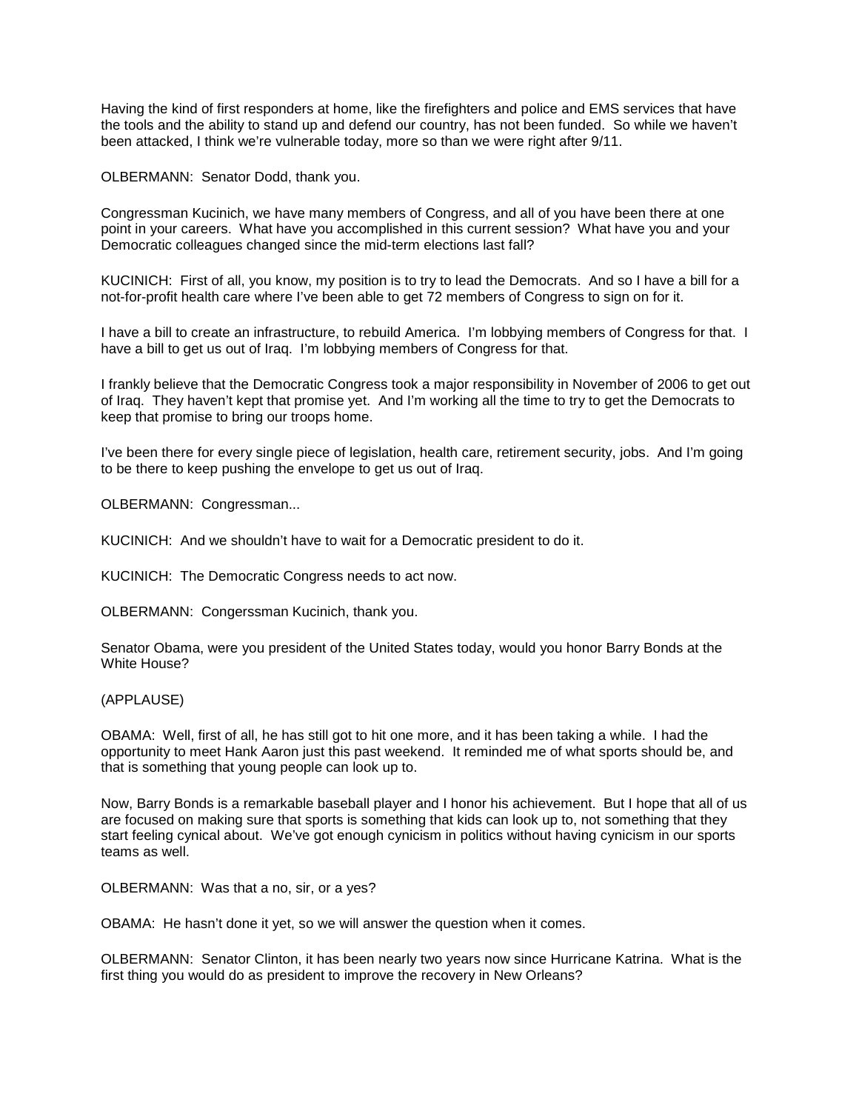Having the kind of first responders at home, like the firefighters and police and EMS services that have the tools and the ability to stand up and defend our country, has not been funded. So while we haven't been attacked, I think we're vulnerable today, more so than we were right after 9/11.

OLBERMANN: Senator Dodd, thank you.

Congressman Kucinich, we have many members of Congress, and all of you have been there at one point in your careers. What have you accomplished in this current session? What have you and your Democratic colleagues changed since the mid-term elections last fall?

KUCINICH: First of all, you know, my position is to try to lead the Democrats. And so I have a bill for a not-for-profit health care where I've been able to get 72 members of Congress to sign on for it.

I have a bill to create an infrastructure, to rebuild America. I'm lobbying members of Congress for that. I have a bill to get us out of Iraq. I'm lobbying members of Congress for that.

I frankly believe that the Democratic Congress took a major responsibility in November of 2006 to get out of Iraq. They haven't kept that promise yet. And I'm working all the time to try to get the Democrats to keep that promise to bring our troops home.

I've been there for every single piece of legislation, health care, retirement security, jobs. And I'm going to be there to keep pushing the envelope to get us out of Iraq.

OLBERMANN: Congressman...

KUCINICH: And we shouldn't have to wait for a Democratic president to do it.

KUCINICH: The Democratic Congress needs to act now.

OLBERMANN: Congerssman Kucinich, thank you.

Senator Obama, were you president of the United States today, would you honor Barry Bonds at the White House?

(APPLAUSE)

OBAMA: Well, first of all, he has still got to hit one more, and it has been taking a while. I had the opportunity to meet Hank Aaron just this past weekend. It reminded me of what sports should be, and that is something that young people can look up to.

Now, Barry Bonds is a remarkable baseball player and I honor his achievement. But I hope that all of us are focused on making sure that sports is something that kids can look up to, not something that they start feeling cynical about. We've got enough cynicism in politics without having cynicism in our sports teams as well.

OLBERMANN: Was that a no, sir, or a yes?

OBAMA: He hasn't done it yet, so we will answer the question when it comes.

OLBERMANN: Senator Clinton, it has been nearly two years now since Hurricane Katrina. What is the first thing you would do as president to improve the recovery in New Orleans?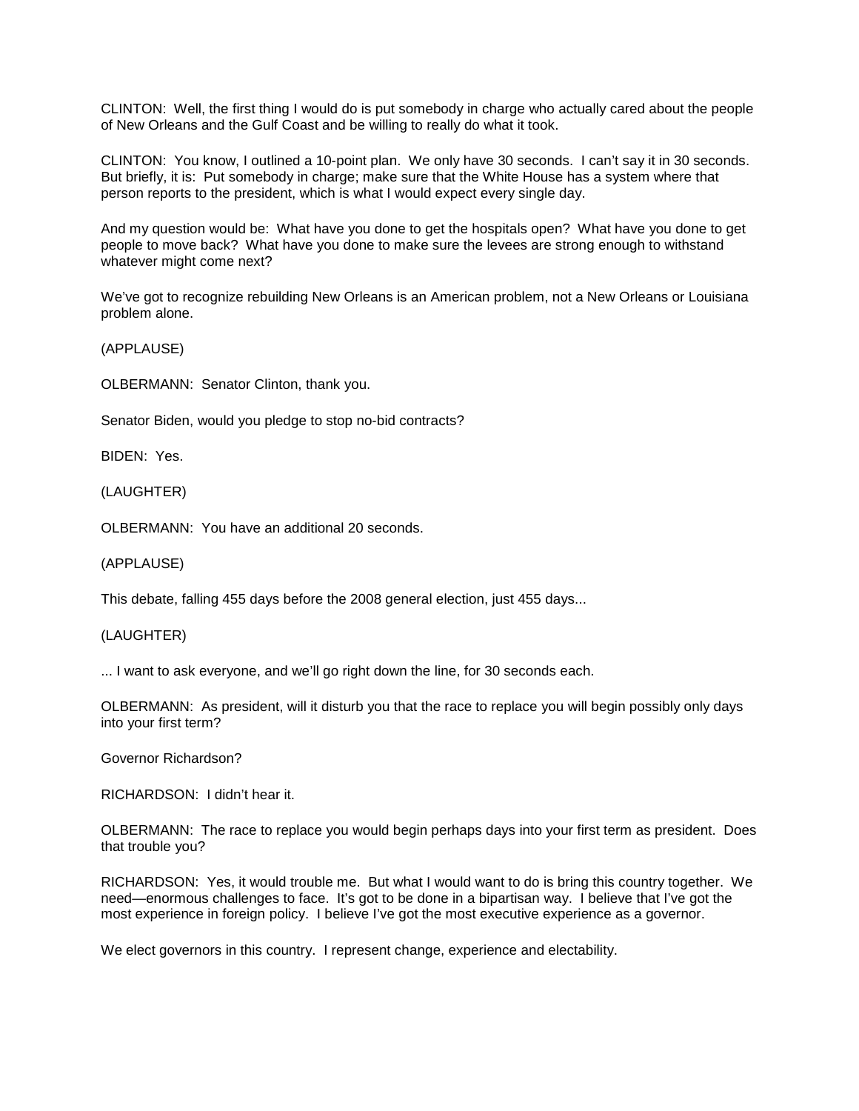CLINTON: Well, the first thing I would do is put somebody in charge who actually cared about the people of New Orleans and the Gulf Coast and be willing to really do what it took.

CLINTON: You know, I outlined a 10-point plan. We only have 30 seconds. I can't say it in 30 seconds. But briefly, it is: Put somebody in charge; make sure that the White House has a system where that person reports to the president, which is what I would expect every single day.

And my question would be: What have you done to get the hospitals open? What have you done to get people to move back? What have you done to make sure the levees are strong enough to withstand whatever might come next?

We've got to recognize rebuilding New Orleans is an American problem, not a New Orleans or Louisiana problem alone.

(APPLAUSE)

OLBERMANN: Senator Clinton, thank you.

Senator Biden, would you pledge to stop no-bid contracts?

BIDEN: Yes.

(LAUGHTER)

OLBERMANN: You have an additional 20 seconds.

(APPLAUSE)

This debate, falling 455 days before the 2008 general election, just 455 days...

(LAUGHTER)

... I want to ask everyone, and we'll go right down the line, for 30 seconds each.

OLBERMANN: As president, will it disturb you that the race to replace you will begin possibly only days into your first term?

Governor Richardson?

RICHARDSON: I didn't hear it.

OLBERMANN: The race to replace you would begin perhaps days into your first term as president. Does that trouble you?

RICHARDSON: Yes, it would trouble me. But what I would want to do is bring this country together. We need—enormous challenges to face. It's got to be done in a bipartisan way. I believe that I've got the most experience in foreign policy. I believe I've got the most executive experience as a governor.

We elect governors in this country. I represent change, experience and electability.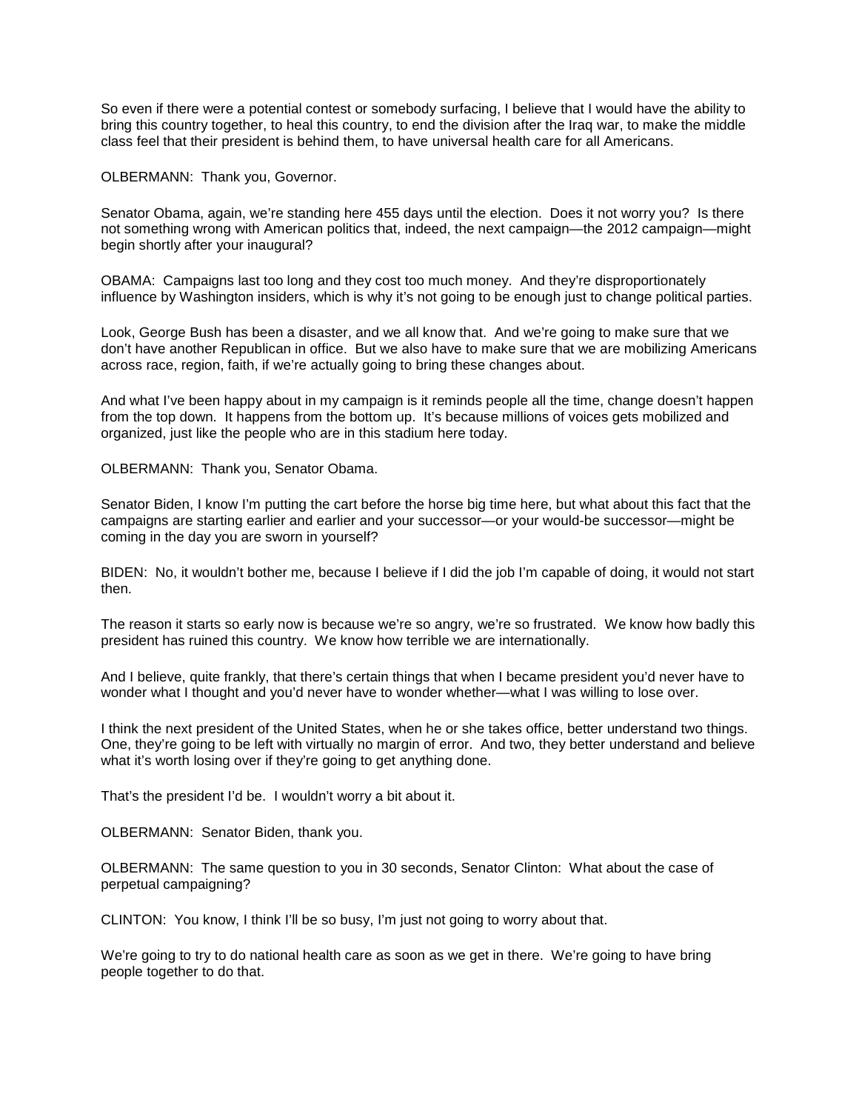So even if there were a potential contest or somebody surfacing, I believe that I would have the ability to bring this country together, to heal this country, to end the division after the Iraq war, to make the middle class feel that their president is behind them, to have universal health care for all Americans.

OLBERMANN: Thank you, Governor.

Senator Obama, again, we're standing here 455 days until the election. Does it not worry you? Is there not something wrong with American politics that, indeed, the next campaign—the 2012 campaign—might begin shortly after your inaugural?

OBAMA: Campaigns last too long and they cost too much money. And they're disproportionately influence by Washington insiders, which is why it's not going to be enough just to change political parties.

Look, George Bush has been a disaster, and we all know that. And we're going to make sure that we don't have another Republican in office. But we also have to make sure that we are mobilizing Americans across race, region, faith, if we're actually going to bring these changes about.

And what I've been happy about in my campaign is it reminds people all the time, change doesn't happen from the top down. It happens from the bottom up. It's because millions of voices gets mobilized and organized, just like the people who are in this stadium here today.

OLBERMANN: Thank you, Senator Obama.

Senator Biden, I know I'm putting the cart before the horse big time here, but what about this fact that the campaigns are starting earlier and earlier and your successor—or your would-be successor—might be coming in the day you are sworn in yourself?

BIDEN: No, it wouldn't bother me, because I believe if I did the job I'm capable of doing, it would not start then.

The reason it starts so early now is because we're so angry, we're so frustrated. We know how badly this president has ruined this country. We know how terrible we are internationally.

And I believe, quite frankly, that there's certain things that when I became president you'd never have to wonder what I thought and you'd never have to wonder whether—what I was willing to lose over.

I think the next president of the United States, when he or she takes office, better understand two things. One, they're going to be left with virtually no margin of error. And two, they better understand and believe what it's worth losing over if they're going to get anything done.

That's the president I'd be. I wouldn't worry a bit about it.

OLBERMANN: Senator Biden, thank you.

OLBERMANN: The same question to you in 30 seconds, Senator Clinton: What about the case of perpetual campaigning?

CLINTON: You know, I think I'll be so busy, I'm just not going to worry about that.

We're going to try to do national health care as soon as we get in there. We're going to have bring people together to do that.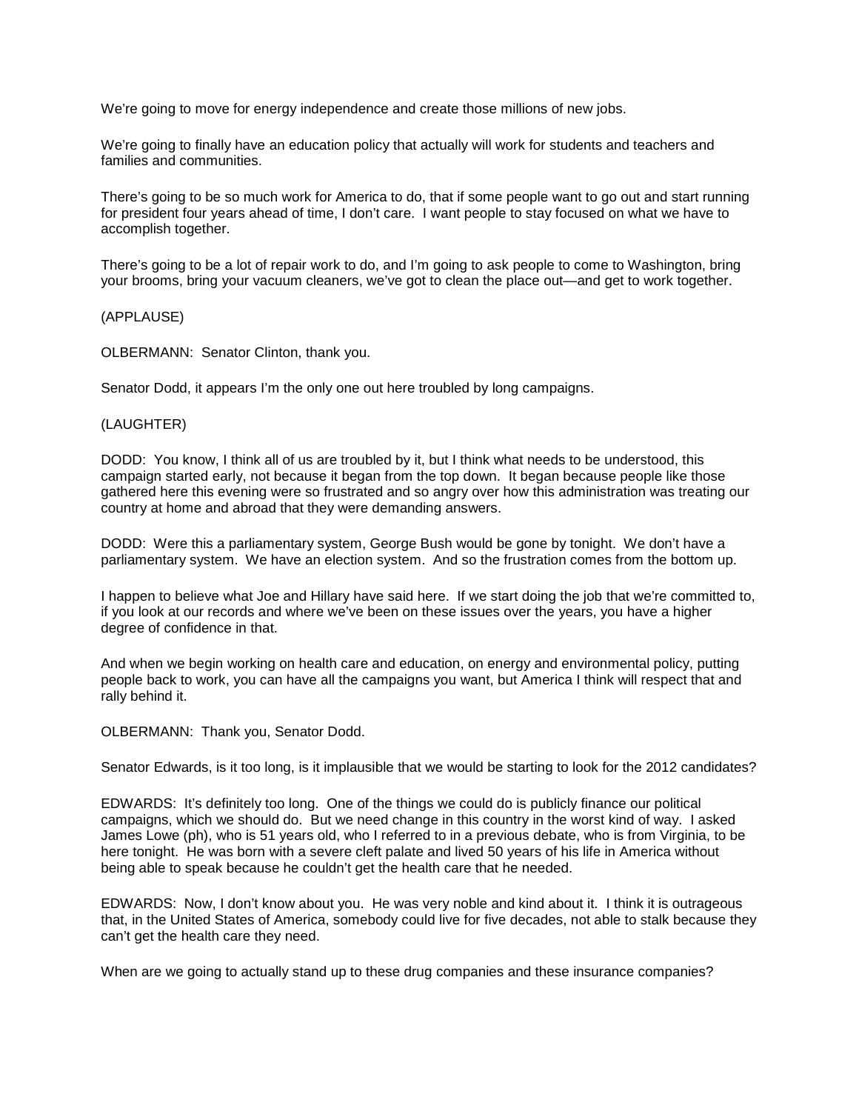We're going to move for energy independence and create those millions of new jobs.

We're going to finally have an education policy that actually will work for students and teachers and families and communities.

There's going to be so much work for America to do, that if some people want to go out and start running for president four years ahead of time, I don't care. I want people to stay focused on what we have to accomplish together.

There's going to be a lot of repair work to do, and I'm going to ask people to come to Washington, bring your brooms, bring your vacuum cleaners, we've got to clean the place out—and get to work together.

(APPLAUSE)

OLBERMANN: Senator Clinton, thank you.

Senator Dodd, it appears I'm the only one out here troubled by long campaigns.

## (LAUGHTER)

DODD: You know, I think all of us are troubled by it, but I think what needs to be understood, this campaign started early, not because it began from the top down. It began because people like those gathered here this evening were so frustrated and so angry over how this administration was treating our country at home and abroad that they were demanding answers.

DODD: Were this a parliamentary system, George Bush would be gone by tonight. We don't have a parliamentary system. We have an election system. And so the frustration comes from the bottom up.

I happen to believe what Joe and Hillary have said here. If we start doing the job that we're committed to, if you look at our records and where we've been on these issues over the years, you have a higher degree of confidence in that.

And when we begin working on health care and education, on energy and environmental policy, putting people back to work, you can have all the campaigns you want, but America I think will respect that and rally behind it.

OLBERMANN: Thank you, Senator Dodd.

Senator Edwards, is it too long, is it implausible that we would be starting to look for the 2012 candidates?

EDWARDS: It's definitely too long. One of the things we could do is publicly finance our political campaigns, which we should do. But we need change in this country in the worst kind of way. I asked James Lowe (ph), who is 51 years old, who I referred to in a previous debate, who is from Virginia, to be here tonight. He was born with a severe cleft palate and lived 50 years of his life in America without being able to speak because he couldn't get the health care that he needed.

EDWARDS: Now, I don't know about you. He was very noble and kind about it. I think it is outrageous that, in the United States of America, somebody could live for five decades, not able to stalk because they can't get the health care they need.

When are we going to actually stand up to these drug companies and these insurance companies?